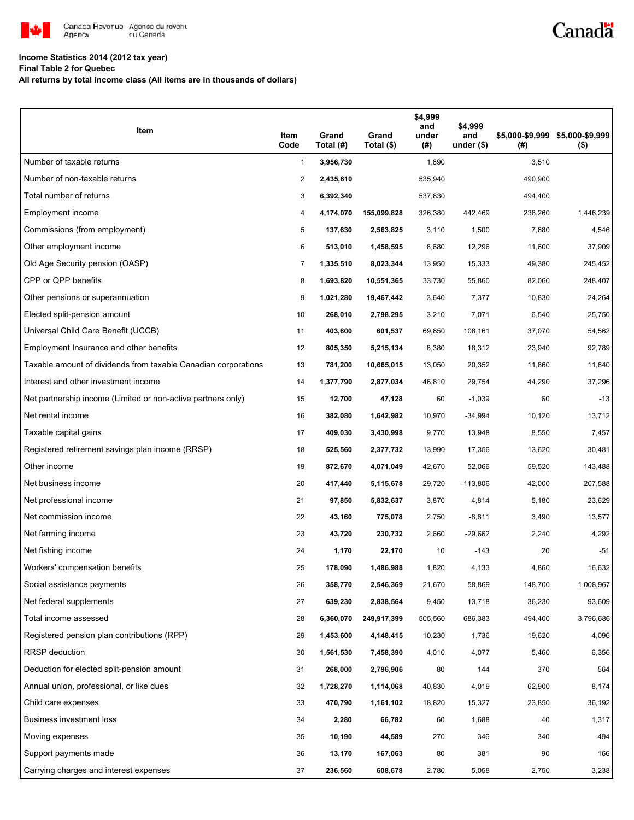

## **Income Statistics 2014 (2012 tax year)**

**Final Table 2 for Quebec**

**All returns by total income class (All items are in thousands of dollars)**

| Item                                                           | Item<br>Code   | Grand<br>Total (#) | Grand<br>Total (\$) | \$4,999<br>and<br>under<br>(#) | \$4,999<br>and<br>under $($)$ | (# )    | \$5,000-\$9,999 \$5,000-\$9,999<br>$($ \$) |
|----------------------------------------------------------------|----------------|--------------------|---------------------|--------------------------------|-------------------------------|---------|--------------------------------------------|
| Number of taxable returns                                      | $\mathbf{1}$   | 3,956,730          |                     | 1,890                          |                               | 3,510   |                                            |
| Number of non-taxable returns                                  | $\overline{c}$ | 2,435,610          |                     | 535,940                        |                               | 490,900 |                                            |
| Total number of returns                                        | 3              | 6,392,340          |                     | 537,830                        |                               | 494,400 |                                            |
| Employment income                                              | 4              | 4,174,070          | 155,099,828         | 326,380                        | 442,469                       | 238,260 | 1,446,239                                  |
| Commissions (from employment)                                  | 5              | 137,630            | 2,563,825           | 3,110                          | 1,500                         | 7,680   | 4,546                                      |
| Other employment income                                        | 6              | 513,010            | 1,458,595           | 8,680                          | 12,296                        | 11,600  | 37,909                                     |
| Old Age Security pension (OASP)                                | 7              | 1,335,510          | 8,023,344           | 13,950                         | 15,333                        | 49,380  | 245,452                                    |
| CPP or QPP benefits                                            | 8              | 1,693,820          | 10,551,365          | 33,730                         | 55,860                        | 82,060  | 248,407                                    |
| Other pensions or superannuation                               | 9              | 1,021,280          | 19,467,442          | 3,640                          | 7,377                         | 10,830  | 24,264                                     |
| Elected split-pension amount                                   | 10             | 268,010            | 2,798,295           | 3,210                          | 7,071                         | 6,540   | 25,750                                     |
| Universal Child Care Benefit (UCCB)                            | 11             | 403,600            | 601,537             | 69,850                         | 108,161                       | 37,070  | 54,562                                     |
| Employment Insurance and other benefits                        | 12             | 805,350            | 5,215,134           | 8,380                          | 18,312                        | 23,940  | 92,789                                     |
| Taxable amount of dividends from taxable Canadian corporations | 13             | 781,200            | 10,665,015          | 13,050                         | 20,352                        | 11,860  | 11,640                                     |
| Interest and other investment income                           | 14             | 1,377,790          | 2,877,034           | 46,810                         | 29,754                        | 44,290  | 37,296                                     |
| Net partnership income (Limited or non-active partners only)   | 15             | 12,700             | 47,128              | 60                             | $-1,039$                      | 60      | $-13$                                      |
| Net rental income                                              | 16             | 382,080            | 1,642,982           | 10,970                         | -34,994                       | 10,120  | 13,712                                     |
| Taxable capital gains                                          | 17             | 409,030            | 3,430,998           | 9,770                          | 13,948                        | 8,550   | 7,457                                      |
| Registered retirement savings plan income (RRSP)               | 18             | 525,560            | 2,377,732           | 13,990                         | 17,356                        | 13,620  | 30,481                                     |
| Other income                                                   | 19             | 872,670            | 4,071,049           | 42,670                         | 52,066                        | 59,520  | 143,488                                    |
| Net business income                                            | 20             | 417,440            | 5,115,678           | 29,720                         | $-113,806$                    | 42,000  | 207,588                                    |
| Net professional income                                        | 21             | 97,850             | 5,832,637           | 3,870                          | $-4,814$                      | 5,180   | 23,629                                     |
| Net commission income                                          | 22             | 43,160             | 775,078             | 2,750                          | $-8,811$                      | 3,490   | 13,577                                     |
| Net farming income                                             | 23             | 43,720             | 230,732             | 2,660                          | $-29,662$                     | 2,240   | 4,292                                      |
| Net fishing income                                             | 24             | 1,170              | 22,170              | 10                             | $-143$                        | 20      | $-51$                                      |
| Workers' compensation benefits                                 | 25             | 178,090            | 1,486,988           | 1,820                          | 4,133                         | 4,860   | 16,632                                     |
| Social assistance payments                                     | 26             | 358,770            | 2,546,369           | 21,670                         | 58,869                        | 148,700 | 1,008,967                                  |
| Net federal supplements                                        | 27             | 639,230            | 2,838,564           | 9,450                          | 13,718                        | 36,230  | 93,609                                     |
| Total income assessed                                          | 28             | 6,360,070          | 249,917,399         | 505,560                        | 686,383                       | 494,400 | 3,796,686                                  |
| Registered pension plan contributions (RPP)                    | 29             | 1,453,600          | 4,148,415           | 10,230                         | 1,736                         | 19,620  | 4,096                                      |
| RRSP deduction                                                 | 30             | 1,561,530          | 7,458,390           | 4,010                          | 4,077                         | 5,460   | 6,356                                      |
| Deduction for elected split-pension amount                     | 31             | 268,000            | 2,796,906           | 80                             | 144                           | 370     | 564                                        |
| Annual union, professional, or like dues                       | 32             | 1,728,270          | 1,114,068           | 40,830                         | 4,019                         | 62,900  | 8,174                                      |
| Child care expenses                                            | 33             | 470,790            | 1,161,102           | 18,820                         | 15,327                        | 23,850  | 36,192                                     |
| Business investment loss                                       | 34             | 2,280              | 66,782              | 60                             | 1,688                         | 40      | 1,317                                      |
| Moving expenses                                                | 35             | 10,190             | 44,589              | 270                            | 346                           | 340     | 494                                        |
| Support payments made                                          | 36             | 13,170             | 167,063             | 80                             | 381                           | 90      | 166                                        |
| Carrying charges and interest expenses                         | 37             | 236,560            | 608,678             | 2,780                          | 5,058                         | 2,750   | 3,238                                      |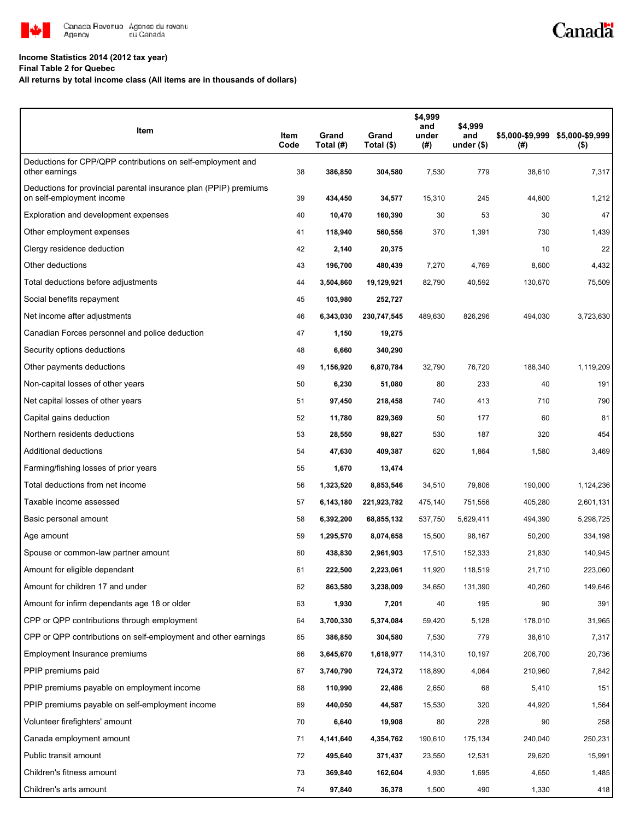

## **Income Statistics 2014 (2012 tax year)**

**Final Table 2 for Quebec**

## **All returns by total income class (All items are in thousands of dollars)**

| Item                                                                                           | Item<br>Code | Grand<br>Total (#) | Grand<br>Total (\$) | \$4,999<br>and<br>under<br>(#) | \$4,999<br>and<br>under $($)$ | (#)     | \$5,000-\$9,999 \$5,000-\$9,999<br>$($ \$) |
|------------------------------------------------------------------------------------------------|--------------|--------------------|---------------------|--------------------------------|-------------------------------|---------|--------------------------------------------|
| Deductions for CPP/QPP contributions on self-employment and<br>other earnings                  | 38           | 386,850            | 304,580             | 7,530                          | 779                           | 38,610  | 7,317                                      |
| Deductions for provincial parental insurance plan (PPIP) premiums<br>on self-employment income | 39           | 434,450            | 34,577              | 15,310                         | 245                           | 44,600  | 1,212                                      |
| Exploration and development expenses                                                           | 40           | 10,470             | 160,390             | 30                             | 53                            | 30      | 47                                         |
| Other employment expenses                                                                      | 41           | 118,940            | 560,556             | 370                            | 1,391                         | 730     | 1,439                                      |
| Clergy residence deduction                                                                     | 42           | 2,140              | 20,375              |                                |                               | 10      | 22                                         |
| Other deductions                                                                               | 43           | 196,700            | 480,439             | 7,270                          | 4,769                         | 8,600   | 4,432                                      |
| Total deductions before adjustments                                                            | 44           | 3,504,860          | 19,129,921          | 82,790                         | 40,592                        | 130,670 | 75,509                                     |
| Social benefits repayment                                                                      | 45           | 103,980            | 252,727             |                                |                               |         |                                            |
| Net income after adjustments                                                                   | 46           | 6,343,030          | 230,747,545         | 489,630                        | 826,296                       | 494,030 | 3,723,630                                  |
| Canadian Forces personnel and police deduction                                                 | 47           | 1,150              | 19,275              |                                |                               |         |                                            |
| Security options deductions                                                                    | 48           | 6,660              | 340,290             |                                |                               |         |                                            |
| Other payments deductions                                                                      | 49           | 1,156,920          | 6,870,784           | 32,790                         | 76,720                        | 188,340 | 1,119,209                                  |
| Non-capital losses of other years                                                              | 50           | 6,230              | 51,080              | 80                             | 233                           | 40      | 191                                        |
| Net capital losses of other years                                                              | 51           | 97,450             | 218,458             | 740                            | 413                           | 710     | 790                                        |
| Capital gains deduction                                                                        | 52           | 11,780             | 829,369             | 50                             | 177                           | 60      | 81                                         |
| Northern residents deductions                                                                  | 53           | 28,550             | 98,827              | 530                            | 187                           | 320     | 454                                        |
| Additional deductions                                                                          | 54           | 47,630             | 409,387             | 620                            | 1,864                         | 1,580   | 3,469                                      |
| Farming/fishing losses of prior years                                                          | 55           | 1,670              | 13,474              |                                |                               |         |                                            |
| Total deductions from net income                                                               | 56           | 1,323,520          | 8,853,546           | 34,510                         | 79,806                        | 190,000 | 1,124,236                                  |
| Taxable income assessed                                                                        | 57           | 6,143,180          | 221,923,782         | 475,140                        | 751,556                       | 405,280 | 2,601,131                                  |
| Basic personal amount                                                                          | 58           | 6,392,200          | 68,855,132          | 537,750                        | 5,629,411                     | 494,390 | 5,298,725                                  |
| Age amount                                                                                     | 59           | 1,295,570          | 8,074,658           | 15,500                         | 98,167                        | 50,200  | 334,198                                    |
| Spouse or common-law partner amount                                                            | 60           | 438,830            | 2,961,903           | 17,510                         | 152,333                       | 21,830  | 140,945                                    |
| Amount for eligible dependant                                                                  | 61           | 222,500            | 2,223,061           | 11,920                         | 118,519                       | 21,710  | 223,060                                    |
| Amount for children 17 and under                                                               | 62           | 863,580            | 3,238,009           | 34,650                         | 131,390                       | 40,260  | 149,646                                    |
| Amount for infirm dependants age 18 or older                                                   | 63           | 1,930              | 7,201               | 40                             | 195                           | 90      | 391                                        |
| CPP or QPP contributions through employment                                                    | 64           | 3,700,330          | 5,374,084           | 59,420                         | 5,128                         | 178,010 | 31,965                                     |
| CPP or QPP contributions on self-employment and other earnings                                 | 65           | 386,850            | 304,580             | 7,530                          | 779                           | 38,610  | 7,317                                      |
| Employment Insurance premiums                                                                  | 66           | 3,645,670          | 1,618,977           | 114,310                        | 10,197                        | 206,700 | 20,736                                     |
| PPIP premiums paid                                                                             | 67           | 3,740,790          | 724,372             | 118,890                        | 4,064                         | 210,960 | 7,842                                      |
| PPIP premiums payable on employment income                                                     | 68           | 110,990            | 22,486              | 2,650                          | 68                            | 5,410   | 151                                        |
| PPIP premiums payable on self-employment income                                                | 69           | 440,050            | 44,587              | 15,530                         | 320                           | 44,920  | 1,564                                      |
| Volunteer firefighters' amount                                                                 | 70           | 6,640              | 19,908              | 80                             | 228                           | 90      | 258                                        |
| Canada employment amount                                                                       | 71           | 4,141,640          | 4,354,762           | 190,610                        | 175,134                       | 240,040 | 250,231                                    |
| Public transit amount                                                                          | 72           | 495,640            | 371,437             | 23,550                         | 12,531                        | 29,620  | 15,991                                     |
| Children's fitness amount                                                                      | 73           | 369,840            | 162,604             | 4,930                          | 1,695                         | 4,650   | 1,485                                      |
| Children's arts amount                                                                         | 74           | 97,840             | 36,378              | 1,500                          | 490                           | 1,330   | 418                                        |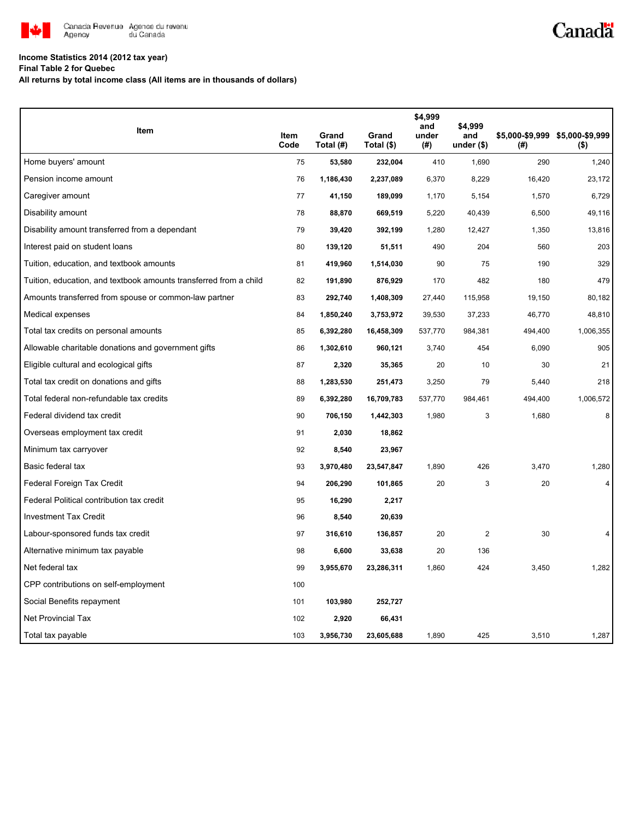

## **Income Statistics 2014 (2012 tax year)**

**Final Table 2 for Quebec**

**All returns by total income class (All items are in thousands of dollars)**

| Item                                                              | Item<br>Code | Grand<br>Total (#) | Grand<br>Total (\$) | \$4,999<br>and<br>under<br>(#) | \$4,999<br>and<br>under $(*)$ | $^{(\#)}$ | \$5,000-\$9,999 \$5,000-\$9,999<br>(\$) |
|-------------------------------------------------------------------|--------------|--------------------|---------------------|--------------------------------|-------------------------------|-----------|-----------------------------------------|
| Home buyers' amount                                               | 75           | 53,580             | 232,004             | 410                            | 1,690                         | 290       | 1,240                                   |
| Pension income amount                                             | 76           | 1,186,430          | 2,237,089           | 6,370                          | 8,229                         | 16,420    | 23,172                                  |
| Caregiver amount                                                  | 77           | 41,150             | 189,099             | 1,170                          | 5,154                         | 1,570     | 6,729                                   |
| Disability amount                                                 | 78           | 88,870             | 669,519             | 5,220                          | 40,439                        | 6,500     | 49,116                                  |
| Disability amount transferred from a dependant                    | 79           | 39,420             | 392,199             | 1,280                          | 12,427                        | 1,350     | 13,816                                  |
| Interest paid on student loans                                    | 80           | 139,120            | 51,511              | 490                            | 204                           | 560       | 203                                     |
| Tuition, education, and textbook amounts                          | 81           | 419,960            | 1,514,030           | 90                             | 75                            | 190       | 329                                     |
| Tuition, education, and textbook amounts transferred from a child | 82           | 191,890            | 876,929             | 170                            | 482                           | 180       | 479                                     |
| Amounts transferred from spouse or common-law partner             | 83           | 292,740            | 1,408,309           | 27,440                         | 115,958                       | 19,150    | 80,182                                  |
| Medical expenses                                                  | 84           | 1,850,240          | 3,753,972           | 39,530                         | 37,233                        | 46,770    | 48,810                                  |
| Total tax credits on personal amounts                             | 85           | 6,392,280          | 16,458,309          | 537,770                        | 984,381                       | 494,400   | 1,006,355                               |
| Allowable charitable donations and government gifts               | 86           | 1,302,610          | 960,121             | 3,740                          | 454                           | 6,090     | 905                                     |
| Eligible cultural and ecological gifts                            | 87           | 2,320              | 35,365              | 20                             | 10                            | 30        | 21                                      |
| Total tax credit on donations and gifts                           | 88           | 1,283,530          | 251,473             | 3,250                          | 79                            | 5,440     | 218                                     |
| Total federal non-refundable tax credits                          | 89           | 6,392,280          | 16,709,783          | 537,770                        | 984,461                       | 494,400   | 1,006,572                               |
| Federal dividend tax credit                                       | 90           | 706,150            | 1,442,303           | 1,980                          | 3                             | 1,680     | 8                                       |
| Overseas employment tax credit                                    | 91           | 2,030              | 18,862              |                                |                               |           |                                         |
| Minimum tax carryover                                             | 92           | 8,540              | 23,967              |                                |                               |           |                                         |
| Basic federal tax                                                 | 93           | 3,970,480          | 23,547,847          | 1,890                          | 426                           | 3,470     | 1,280                                   |
| Federal Foreign Tax Credit                                        | 94           | 206,290            | 101,865             | 20                             | 3                             | 20        | 4                                       |
| Federal Political contribution tax credit                         | 95           | 16,290             | 2,217               |                                |                               |           |                                         |
| Investment Tax Credit                                             | 96           | 8,540              | 20,639              |                                |                               |           |                                         |
| Labour-sponsored funds tax credit                                 | 97           | 316,610            | 136,857             | 20                             | $\overline{2}$                | 30        |                                         |
| Alternative minimum tax payable                                   | 98           | 6,600              | 33,638              | 20                             | 136                           |           |                                         |
| Net federal tax                                                   | 99           | 3,955,670          | 23,286,311          | 1,860                          | 424                           | 3,450     | 1,282                                   |
| CPP contributions on self-employment                              | 100          |                    |                     |                                |                               |           |                                         |
| Social Benefits repayment                                         | 101          | 103,980            | 252,727             |                                |                               |           |                                         |
| <b>Net Provincial Tax</b>                                         | 102          | 2,920              | 66,431              |                                |                               |           |                                         |
| Total tax payable                                                 | 103          | 3,956,730          | 23,605,688          | 1,890                          | 425                           | 3,510     | 1,287                                   |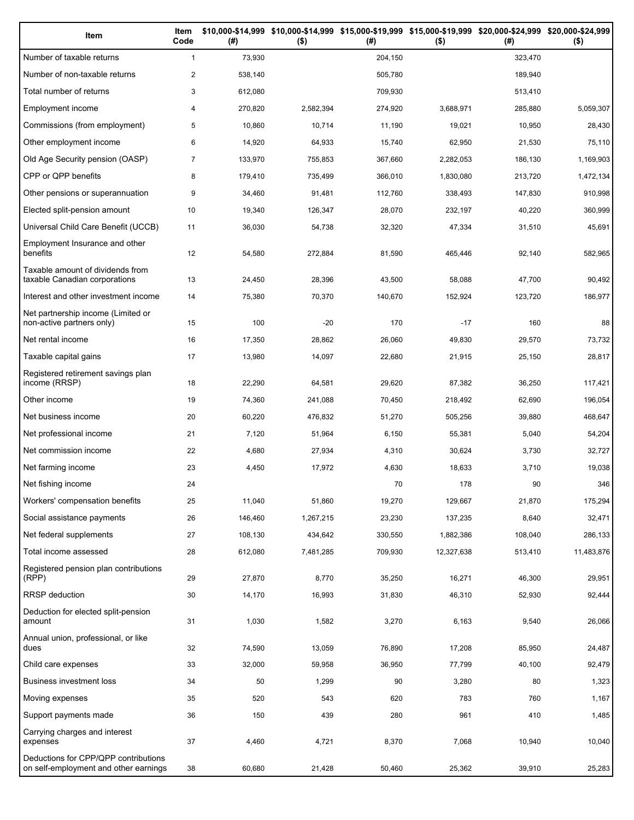| Item                                                                          | Item<br>Code   | (#)     | \$10,000-\$14,999 \$10,000-\$14,999 \$15,000-\$19,999 \$15,000-\$19,999 \$20,000-\$24,999 \$20,000-\$24,999<br>$($ \$) | (#)     | $($ \$)    | (# )    | $($ \$)    |
|-------------------------------------------------------------------------------|----------------|---------|------------------------------------------------------------------------------------------------------------------------|---------|------------|---------|------------|
| Number of taxable returns                                                     | $\mathbf{1}$   | 73,930  |                                                                                                                        | 204,150 |            | 323,470 |            |
| Number of non-taxable returns                                                 | $\overline{2}$ | 538,140 |                                                                                                                        | 505,780 |            | 189,940 |            |
| Total number of returns                                                       | 3              | 612,080 |                                                                                                                        | 709,930 |            | 513,410 |            |
| Employment income                                                             | 4              | 270,820 | 2,582,394                                                                                                              | 274,920 | 3,688,971  | 285,880 | 5,059,307  |
| Commissions (from employment)                                                 | 5              | 10,860  | 10,714                                                                                                                 | 11,190  | 19,021     | 10,950  | 28,430     |
| Other employment income                                                       | 6              | 14,920  | 64,933                                                                                                                 | 15,740  | 62,950     | 21,530  | 75,110     |
| Old Age Security pension (OASP)                                               | $\overline{7}$ | 133,970 | 755,853                                                                                                                | 367,660 | 2,282,053  | 186,130 | 1,169,903  |
| CPP or QPP benefits                                                           | 8              | 179,410 | 735,499                                                                                                                | 366,010 | 1,830,080  | 213,720 | 1,472,134  |
| Other pensions or superannuation                                              | 9              | 34,460  | 91,481                                                                                                                 | 112,760 | 338,493    | 147,830 | 910,998    |
| Elected split-pension amount                                                  | 10             | 19,340  | 126,347                                                                                                                | 28,070  | 232,197    | 40,220  | 360,999    |
| Universal Child Care Benefit (UCCB)                                           | 11             | 36,030  | 54,738                                                                                                                 | 32,320  | 47,334     | 31,510  | 45,691     |
| Employment Insurance and other<br>benefits                                    | 12             | 54,580  | 272,884                                                                                                                | 81,590  | 465,446    | 92,140  | 582,965    |
| Taxable amount of dividends from<br>taxable Canadian corporations             | 13             | 24,450  | 28,396                                                                                                                 | 43,500  | 58,088     | 47,700  | 90,492     |
| Interest and other investment income                                          | 14             | 75,380  | 70,370                                                                                                                 | 140,670 | 152,924    | 123,720 | 186,977    |
| Net partnership income (Limited or<br>non-active partners only)               | 15             | 100     | -20                                                                                                                    | 170     | $-17$      | 160     | 88         |
| Net rental income                                                             | 16             | 17,350  | 28,862                                                                                                                 | 26,060  | 49,830     | 29,570  | 73,732     |
| Taxable capital gains                                                         | 17             | 13,980  | 14,097                                                                                                                 | 22,680  | 21,915     | 25,150  | 28,817     |
| Registered retirement savings plan<br>income (RRSP)                           | 18             | 22,290  | 64,581                                                                                                                 | 29,620  | 87,382     | 36,250  | 117,421    |
| Other income                                                                  | 19             | 74,360  | 241,088                                                                                                                | 70,450  | 218,492    | 62,690  | 196,054    |
| Net business income                                                           | 20             | 60,220  | 476,832                                                                                                                | 51,270  | 505,256    | 39,880  | 468,647    |
| Net professional income                                                       | 21             | 7,120   | 51,964                                                                                                                 | 6,150   | 55,381     | 5,040   | 54,204     |
| Net commission income                                                         | 22             | 4,680   | 27,934                                                                                                                 | 4,310   | 30,624     | 3,730   | 32,727     |
| Net farming income                                                            | 23             | 4,450   | 17,972                                                                                                                 | 4,630   | 18,633     | 3,710   | 19,038     |
| Net fishing income                                                            | 24             |         |                                                                                                                        | 70      | 178        | 90      | 346        |
| Workers' compensation benefits                                                | 25             | 11,040  | 51,860                                                                                                                 | 19,270  | 129,667    | 21,870  | 175,294    |
| Social assistance payments                                                    | 26             | 146,460 | 1,267,215                                                                                                              | 23,230  | 137,235    | 8,640   | 32,471     |
| Net federal supplements                                                       | 27             | 108,130 | 434,642                                                                                                                | 330,550 | 1,882,386  | 108,040 | 286,133    |
| Total income assessed                                                         | 28             | 612,080 | 7,481,285                                                                                                              | 709,930 | 12,327,638 | 513,410 | 11,483,876 |
| Registered pension plan contributions<br>(RPP)                                | 29             | 27,870  | 8,770                                                                                                                  | 35,250  | 16,271     | 46,300  | 29,951     |
| RRSP deduction                                                                | 30             | 14,170  | 16,993                                                                                                                 | 31,830  | 46,310     | 52,930  | 92,444     |
| Deduction for elected split-pension<br>amount                                 | 31             | 1,030   | 1,582                                                                                                                  | 3,270   | 6,163      | 9,540   | 26,066     |
| Annual union, professional, or like<br>dues                                   | 32             | 74,590  | 13,059                                                                                                                 | 76,890  | 17,208     | 85,950  | 24,487     |
| Child care expenses                                                           | 33             | 32,000  | 59,958                                                                                                                 | 36,950  | 77,799     | 40,100  | 92,479     |
| Business investment loss                                                      | 34             | 50      | 1,299                                                                                                                  | 90      | 3,280      | 80      | 1,323      |
| Moving expenses                                                               | 35             | 520     | 543                                                                                                                    | 620     | 783        | 760     | 1,167      |
| Support payments made                                                         | 36             | 150     | 439                                                                                                                    | 280     | 961        | 410     | 1,485      |
| Carrying charges and interest<br>expenses                                     | 37             | 4,460   | 4,721                                                                                                                  | 8,370   | 7,068      | 10,940  | 10,040     |
| Deductions for CPP/QPP contributions<br>on self-employment and other earnings | 38             | 60,680  | 21,428                                                                                                                 | 50,460  | 25,362     | 39,910  | 25,283     |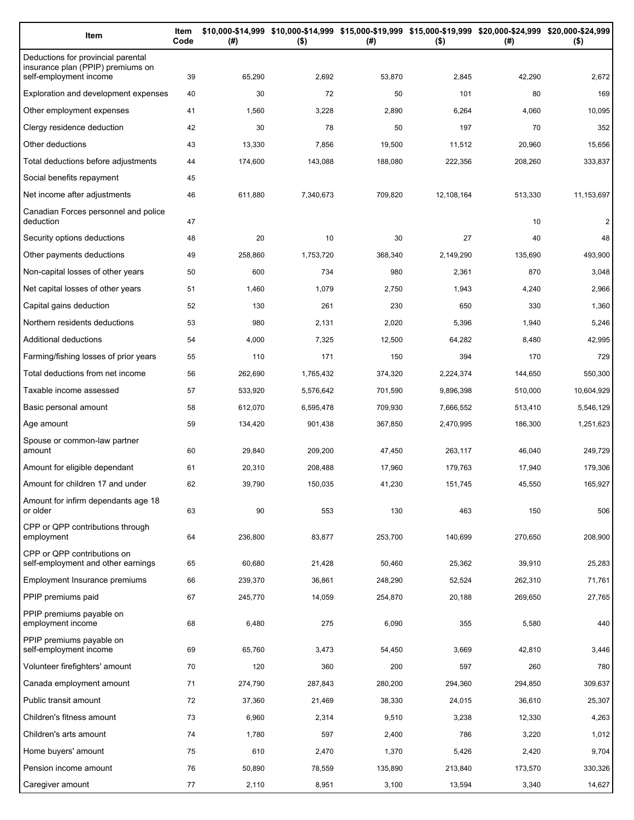| Item                                                                                              | Item<br>Code | (#)     | \$10,000-\$14,999 \$10,000-\$14,999 \$15,000-\$19,999 \$15,000-\$19,999 \$20,000-\$24,999 \$20,000-\$24,999<br>$($ \$) | (#)     | $($ \$)    | (#)     | $($ \$)        |
|---------------------------------------------------------------------------------------------------|--------------|---------|------------------------------------------------------------------------------------------------------------------------|---------|------------|---------|----------------|
| Deductions for provincial parental<br>insurance plan (PPIP) premiums on<br>self-employment income | 39           | 65,290  | 2,692                                                                                                                  | 53,870  | 2,845      | 42,290  | 2,672          |
| Exploration and development expenses                                                              | 40           | 30      | 72                                                                                                                     | 50      | 101        | 80      | 169            |
| Other employment expenses                                                                         | 41           | 1,560   | 3,228                                                                                                                  | 2,890   | 6,264      | 4,060   | 10,095         |
| Clergy residence deduction                                                                        | 42           | 30      | 78                                                                                                                     | 50      | 197        | 70      | 352            |
| Other deductions                                                                                  | 43           | 13,330  | 7,856                                                                                                                  | 19,500  | 11,512     | 20,960  | 15,656         |
| Total deductions before adjustments                                                               | 44           | 174,600 | 143,088                                                                                                                | 188,080 | 222,356    | 208,260 | 333,837        |
| Social benefits repayment                                                                         | 45           |         |                                                                                                                        |         |            |         |                |
| Net income after adjustments                                                                      | 46           | 611,880 | 7,340,673                                                                                                              | 709,820 | 12,108,164 | 513,330 | 11,153,697     |
| Canadian Forces personnel and police                                                              |              |         |                                                                                                                        |         |            |         |                |
| deduction                                                                                         | 47           |         |                                                                                                                        |         |            | 10      | $\overline{c}$ |
| Security options deductions                                                                       | 48           | 20      | 10                                                                                                                     | 30      | 27         | 40      | 48             |
| Other payments deductions                                                                         | 49           | 258,860 | 1,753,720                                                                                                              | 368,340 | 2,149,290  | 135,690 | 493,900        |
| Non-capital losses of other years                                                                 | 50           | 600     | 734                                                                                                                    | 980     | 2,361      | 870     | 3,048          |
| Net capital losses of other years                                                                 | 51           | 1,460   | 1,079                                                                                                                  | 2,750   | 1,943      | 4,240   | 2,966          |
| Capital gains deduction                                                                           | 52           | 130     | 261                                                                                                                    | 230     | 650        | 330     | 1,360          |
| Northern residents deductions                                                                     | 53           | 980     | 2,131                                                                                                                  | 2,020   | 5,396      | 1,940   | 5,246          |
| Additional deductions                                                                             | 54           | 4,000   | 7,325                                                                                                                  | 12,500  | 64,282     | 8,480   | 42,995         |
| Farming/fishing losses of prior years                                                             | 55           | 110     | 171                                                                                                                    | 150     | 394        | 170     | 729            |
| Total deductions from net income                                                                  | 56           | 262,690 | 1,765,432                                                                                                              | 374,320 | 2,224,374  | 144,650 | 550,300        |
| Taxable income assessed                                                                           | 57           | 533,920 | 5,576,642                                                                                                              | 701,590 | 9,896,398  | 510,000 | 10,604,929     |
| Basic personal amount                                                                             | 58           | 612,070 | 6,595,478                                                                                                              | 709,930 | 7,666,552  | 513,410 | 5,546,129      |
| Age amount                                                                                        | 59           | 134,420 | 901,438                                                                                                                | 367,850 | 2,470,995  | 186,300 | 1,251,623      |
| Spouse or common-law partner<br>amount                                                            | 60           | 29,840  | 209,200                                                                                                                | 47,450  | 263,117    | 46,040  | 249,729        |
| Amount for eligible dependant                                                                     | 61           | 20,310  | 208,488                                                                                                                | 17,960  | 179,763    | 17,940  | 179,306        |
| Amount for children 17 and under                                                                  | 62           | 39,790  | 150,035                                                                                                                | 41,230  | 151,745    | 45,550  | 165,927        |
| Amount for infirm dependants age 18                                                               |              |         |                                                                                                                        |         |            |         |                |
| or older                                                                                          | 63           | 90      | 553                                                                                                                    | 130     | 463        | 150     | 506            |
| CPP or QPP contributions through<br>employment                                                    | 64           | 236,800 | 83,877                                                                                                                 | 253,700 | 140,699    | 270,650 | 208,900        |
| CPP or QPP contributions on<br>self-employment and other earnings                                 | 65           | 60,680  | 21,428                                                                                                                 | 50,460  | 25,362     | 39,910  | 25,283         |
| Employment Insurance premiums                                                                     | 66           | 239,370 | 36,861                                                                                                                 | 248,290 | 52,524     | 262,310 | 71,761         |
| PPIP premiums paid                                                                                | 67           | 245,770 | 14,059                                                                                                                 | 254,870 | 20,188     | 269,650 | 27,765         |
| PPIP premiums payable on<br>employment income                                                     | 68           | 6,480   | 275                                                                                                                    | 6,090   | 355        | 5,580   | 440            |
| PPIP premiums payable on<br>self-employment income                                                | 69           | 65,760  | 3,473                                                                                                                  | 54,450  | 3,669      | 42,810  | 3,446          |
| Volunteer firefighters' amount                                                                    | 70           | 120     | 360                                                                                                                    | 200     | 597        | 260     | 780            |
| Canada employment amount                                                                          | 71           | 274,790 | 287,843                                                                                                                | 280,200 | 294,360    | 294,850 | 309,637        |
| Public transit amount                                                                             | 72           | 37,360  | 21,469                                                                                                                 | 38,330  | 24,015     | 36,610  | 25,307         |
| Children's fitness amount                                                                         | 73           | 6,960   | 2,314                                                                                                                  | 9,510   | 3,238      | 12,330  | 4,263          |
| Children's arts amount                                                                            | 74           | 1,780   | 597                                                                                                                    | 2,400   | 786        | 3,220   | 1,012          |
| Home buyers' amount                                                                               | 75           | 610     | 2,470                                                                                                                  | 1,370   | 5,426      | 2,420   | 9,704          |
| Pension income amount                                                                             | 76           | 50,890  | 78,559                                                                                                                 | 135,890 | 213,840    | 173,570 | 330,326        |
| Caregiver amount                                                                                  | 77           | 2,110   | 8,951                                                                                                                  | 3,100   | 13,594     | 3,340   | 14,627         |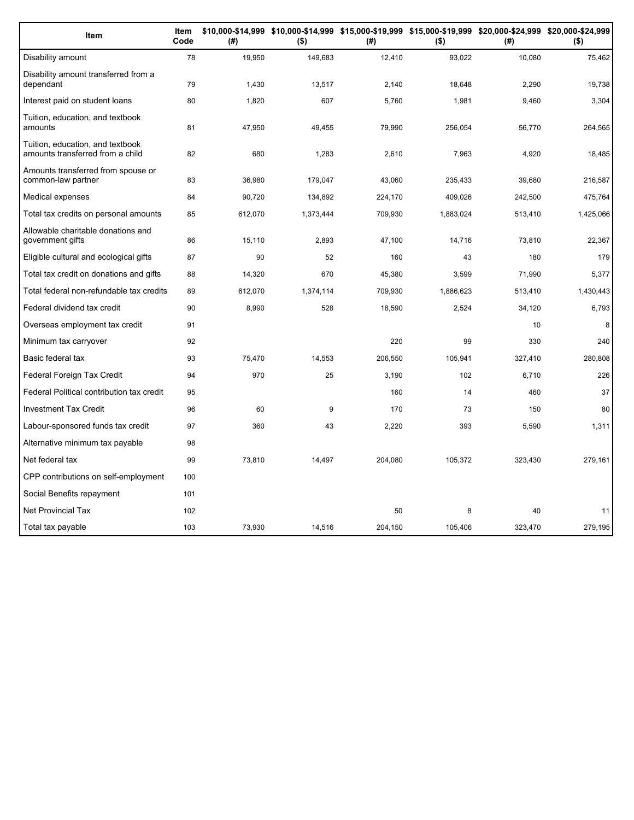| Item                                                                 | Item<br>Code | (#)     | $($ \$)   | (#)     | $($ \$)   | \$10,000-\$14,999 \$10,000-\$14,999 \$15,000-\$19,999 \$15,000-\$19,999 \$20,000-\$24,999 \$20,000-\$24,999<br>(# ) | $($ \$)   |
|----------------------------------------------------------------------|--------------|---------|-----------|---------|-----------|---------------------------------------------------------------------------------------------------------------------|-----------|
| Disability amount                                                    | 78           | 19,950  | 149,683   | 12,410  | 93,022    | 10,080                                                                                                              | 75,462    |
| Disability amount transferred from a<br>dependant                    | 79           | 1,430   | 13,517    | 2,140   | 18,648    | 2,290                                                                                                               | 19,738    |
| Interest paid on student loans                                       | 80           | 1,820   | 607       | 5,760   | 1,981     | 9,460                                                                                                               | 3,304     |
| Tuition, education, and textbook<br>amounts                          | 81           | 47,950  | 49,455    | 79,990  | 256,054   | 56,770                                                                                                              | 264,565   |
| Tuition, education, and textbook<br>amounts transferred from a child | 82           | 680     | 1,283     | 2,610   | 7,963     | 4,920                                                                                                               | 18,485    |
| Amounts transferred from spouse or<br>common-law partner             | 83           | 36,980  | 179,047   | 43,060  | 235,433   | 39,680                                                                                                              | 216,587   |
| Medical expenses                                                     | 84           | 90,720  | 134,892   | 224,170 | 409,026   | 242,500                                                                                                             | 475,764   |
| Total tax credits on personal amounts                                | 85           | 612,070 | 1,373,444 | 709,930 | 1,883,024 | 513,410                                                                                                             | 1,425,066 |
| Allowable charitable donations and<br>government gifts               | 86           | 15,110  | 2,893     | 47,100  | 14,716    | 73,810                                                                                                              | 22,367    |
| Eligible cultural and ecological gifts                               | 87           | 90      | 52        | 160     | 43        | 180                                                                                                                 | 179       |
| Total tax credit on donations and gifts                              | 88           | 14,320  | 670       | 45,380  | 3.599     | 71.990                                                                                                              | 5,377     |
| Total federal non-refundable tax credits                             | 89           | 612,070 | 1,374,114 | 709,930 | 1,886,623 | 513,410                                                                                                             | 1,430,443 |
| Federal dividend tax credit                                          | 90           | 8,990   | 528       | 18,590  | 2,524     | 34,120                                                                                                              | 6,793     |
| Overseas employment tax credit                                       | 91           |         |           |         |           | 10                                                                                                                  | 8         |
| Minimum tax carryover                                                | 92           |         |           | 220     | 99        | 330                                                                                                                 | 240       |
| Basic federal tax                                                    | 93           | 75,470  | 14,553    | 206,550 | 105,941   | 327,410                                                                                                             | 280,808   |
| Federal Foreign Tax Credit                                           | 94           | 970     | 25        | 3,190   | 102       | 6,710                                                                                                               | 226       |
| Federal Political contribution tax credit                            | 95           |         |           | 160     | 14        | 460                                                                                                                 | 37        |
| <b>Investment Tax Credit</b>                                         | 96           | 60      | 9         | 170     | 73        | 150                                                                                                                 | 80        |
| Labour-sponsored funds tax credit                                    | 97           | 360     | 43        | 2,220   | 393       | 5,590                                                                                                               | 1,311     |
| Alternative minimum tax payable                                      | 98           |         |           |         |           |                                                                                                                     |           |
| Net federal tax                                                      | 99           | 73,810  | 14,497    | 204,080 | 105,372   | 323,430                                                                                                             | 279,161   |
| CPP contributions on self-employment                                 | 100          |         |           |         |           |                                                                                                                     |           |
| Social Benefits repayment                                            | 101          |         |           |         |           |                                                                                                                     |           |
| <b>Net Provincial Tax</b>                                            | 102          |         |           | 50      | 8         | 40                                                                                                                  | 11        |
| Total tax payable                                                    | 103          | 73,930  | 14,516    | 204,150 | 105,406   | 323,470                                                                                                             | 279,195   |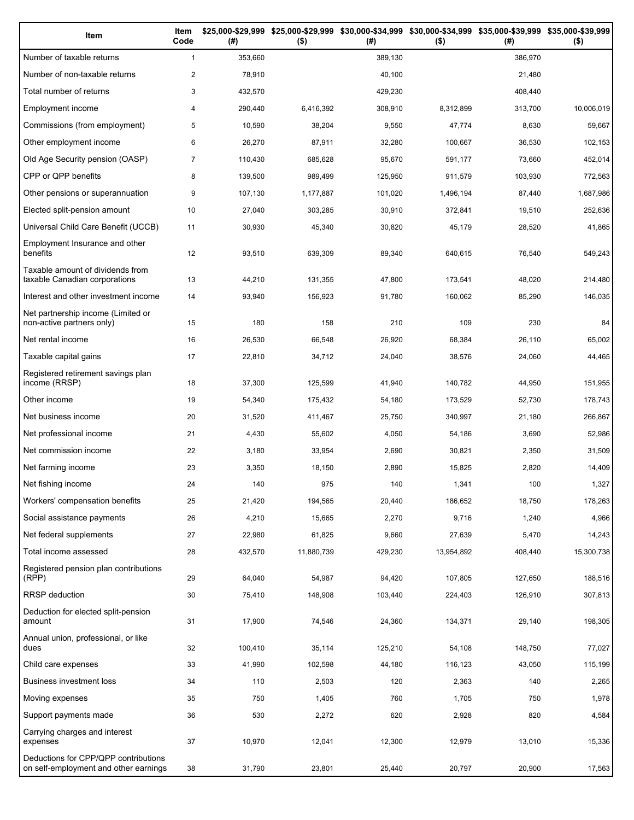| Item                                                                          | Item<br>Code   | (# )    | $($ \$)    | (#)     | \$25,000-\$29,999 \$25,000-\$29,999 \$30,000-\$34,999 \$30,000-\$34,999 \$35,000-\$39,999 \$35,000-\$39,999<br>$($ \$) | (#)     | $($ \$)    |
|-------------------------------------------------------------------------------|----------------|---------|------------|---------|------------------------------------------------------------------------------------------------------------------------|---------|------------|
| Number of taxable returns                                                     | $\mathbf{1}$   | 353,660 |            | 389,130 |                                                                                                                        | 386.970 |            |
| Number of non-taxable returns                                                 | $\overline{2}$ | 78,910  |            | 40,100  |                                                                                                                        | 21,480  |            |
| Total number of returns                                                       | 3              | 432,570 |            | 429,230 |                                                                                                                        | 408,440 |            |
| Employment income                                                             | 4              | 290,440 | 6,416,392  | 308,910 | 8,312,899                                                                                                              | 313,700 | 10,006,019 |
| Commissions (from employment)                                                 | 5              | 10,590  | 38,204     | 9,550   | 47,774                                                                                                                 | 8,630   | 59,667     |
| Other employment income                                                       | 6              | 26,270  | 87,911     | 32,280  | 100,667                                                                                                                | 36,530  | 102,153    |
| Old Age Security pension (OASP)                                               | $\overline{7}$ | 110,430 | 685,628    | 95,670  | 591,177                                                                                                                | 73,660  | 452,014    |
| CPP or QPP benefits                                                           | 8              | 139,500 | 989,499    | 125,950 | 911,579                                                                                                                | 103,930 | 772,563    |
| Other pensions or superannuation                                              | 9              | 107,130 | 1,177,887  | 101,020 | 1,496,194                                                                                                              | 87,440  | 1,687,986  |
| Elected split-pension amount                                                  | 10             | 27,040  | 303,285    | 30,910  | 372,841                                                                                                                | 19,510  | 252,636    |
| Universal Child Care Benefit (UCCB)                                           | 11             | 30,930  | 45,340     | 30,820  | 45,179                                                                                                                 | 28,520  | 41,865     |
| Employment Insurance and other<br>benefits                                    | 12             | 93,510  | 639,309    | 89,340  | 640,615                                                                                                                | 76,540  | 549,243    |
| Taxable amount of dividends from<br>taxable Canadian corporations             | 13             | 44,210  | 131,355    | 47,800  | 173,541                                                                                                                | 48,020  | 214,480    |
| Interest and other investment income                                          | 14             | 93,940  | 156,923    | 91,780  | 160,062                                                                                                                | 85,290  | 146,035    |
| Net partnership income (Limited or<br>non-active partners only)               | 15             | 180     | 158        | 210     | 109                                                                                                                    | 230     | 84         |
| Net rental income                                                             | 16             | 26,530  | 66,548     | 26,920  | 68,384                                                                                                                 | 26,110  | 65,002     |
| Taxable capital gains                                                         | 17             | 22,810  | 34,712     | 24,040  | 38,576                                                                                                                 | 24,060  | 44,465     |
| Registered retirement savings plan<br>income (RRSP)                           | 18             | 37,300  | 125,599    | 41,940  | 140,782                                                                                                                | 44,950  | 151,955    |
| Other income                                                                  | 19             | 54,340  | 175,432    | 54,180  | 173,529                                                                                                                | 52,730  | 178,743    |
| Net business income                                                           | 20             | 31,520  | 411,467    | 25,750  | 340,997                                                                                                                | 21,180  | 266,867    |
| Net professional income                                                       | 21             | 4,430   | 55,602     | 4,050   | 54,186                                                                                                                 | 3,690   | 52,986     |
| Net commission income                                                         | 22             | 3,180   | 33,954     | 2,690   | 30,821                                                                                                                 | 2,350   | 31,509     |
| Net farming income                                                            | 23             | 3,350   | 18,150     | 2,890   | 15,825                                                                                                                 | 2,820   | 14,409     |
| Net fishing income                                                            | 24             | 140     | 975        | 140     | 1,341                                                                                                                  | 100     | 1,327      |
| Workers' compensation benefits                                                | 25             | 21,420  | 194,565    | 20,440  | 186,652                                                                                                                | 18,750  | 178,263    |
| Social assistance payments                                                    | 26             | 4,210   | 15,665     | 2,270   | 9,716                                                                                                                  | 1,240   | 4,966      |
| Net federal supplements                                                       | 27             | 22,980  | 61,825     | 9,660   | 27,639                                                                                                                 | 5,470   | 14,243     |
| Total income assessed                                                         | 28             | 432,570 | 11,880,739 | 429,230 | 13,954,892                                                                                                             | 408,440 | 15,300,738 |
| Registered pension plan contributions<br>(RPP)                                | 29             | 64,040  | 54,987     | 94,420  | 107,805                                                                                                                | 127,650 | 188,516    |
| RRSP deduction                                                                | 30             | 75,410  | 148,908    | 103,440 | 224,403                                                                                                                | 126,910 | 307,813    |
| Deduction for elected split-pension<br>amount                                 | 31             | 17,900  | 74,546     | 24,360  | 134,371                                                                                                                | 29,140  | 198,305    |
| Annual union, professional, or like<br>dues                                   | 32             | 100,410 | 35,114     | 125,210 | 54,108                                                                                                                 | 148,750 | 77,027     |
| Child care expenses                                                           | 33             | 41,990  | 102,598    | 44,180  | 116,123                                                                                                                | 43,050  | 115,199    |
| Business investment loss                                                      | 34             | 110     | 2,503      | 120     | 2,363                                                                                                                  | 140     | 2,265      |
| Moving expenses                                                               | 35             | 750     | 1,405      | 760     | 1,705                                                                                                                  | 750     | 1,978      |
| Support payments made                                                         | 36             | 530     | 2,272      | 620     | 2,928                                                                                                                  | 820     | 4,584      |
| Carrying charges and interest<br>expenses                                     | 37             | 10,970  | 12,041     | 12,300  | 12,979                                                                                                                 | 13,010  | 15,336     |
| Deductions for CPP/QPP contributions<br>on self-employment and other earnings | 38             | 31,790  | 23,801     | 25,440  | 20,797                                                                                                                 | 20,900  | 17,563     |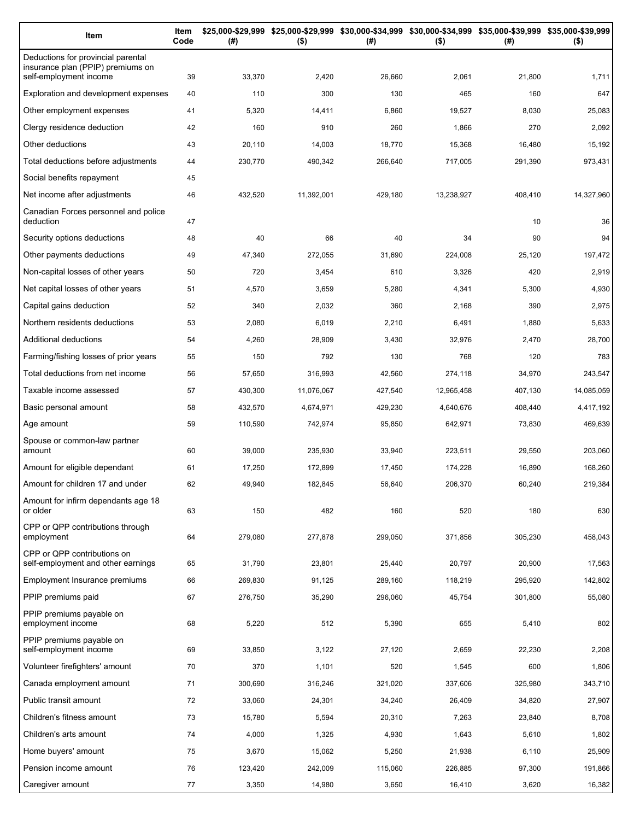| Item                                                                    | Item<br>Code | (#)     | \$25,000-\$29,999 \$25,000-\$29,999 \$30,000-\$34,999 \$30,000-\$34,999 \$35,000-\$39,999 \$35,000-\$39,999<br>$($ \$) | (#)     | $($ \$)    | (#)     | $($ \$)    |
|-------------------------------------------------------------------------|--------------|---------|------------------------------------------------------------------------------------------------------------------------|---------|------------|---------|------------|
| Deductions for provincial parental<br>insurance plan (PPIP) premiums on |              |         |                                                                                                                        |         |            |         |            |
| self-employment income                                                  | 39           | 33,370  | 2,420                                                                                                                  | 26,660  | 2,061      | 21,800  | 1,711      |
| Exploration and development expenses                                    | 40           | 110     | 300                                                                                                                    | 130     | 465        | 160     | 647        |
| Other employment expenses                                               | 41           | 5,320   | 14,411                                                                                                                 | 6,860   | 19,527     | 8,030   | 25,083     |
| Clergy residence deduction                                              | 42           | 160     | 910                                                                                                                    | 260     | 1,866      | 270     | 2,092      |
| Other deductions                                                        | 43           | 20,110  | 14,003                                                                                                                 | 18,770  | 15,368     | 16,480  | 15,192     |
| Total deductions before adjustments                                     | 44           | 230,770 | 490,342                                                                                                                | 266,640 | 717,005    | 291,390 | 973,431    |
| Social benefits repayment                                               | 45           |         |                                                                                                                        |         |            |         |            |
| Net income after adjustments                                            | 46           | 432,520 | 11,392,001                                                                                                             | 429,180 | 13,238,927 | 408,410 | 14,327,960 |
| Canadian Forces personnel and police<br>deduction                       | 47           |         |                                                                                                                        |         |            | 10      | 36         |
| Security options deductions                                             | 48           | 40      | 66                                                                                                                     | 40      | 34         | 90      | 94         |
| Other payments deductions                                               | 49           | 47,340  | 272,055                                                                                                                | 31,690  | 224,008    | 25,120  | 197,472    |
| Non-capital losses of other years                                       | 50           | 720     | 3,454                                                                                                                  | 610     | 3,326      | 420     | 2,919      |
| Net capital losses of other years                                       | 51           | 4,570   | 3,659                                                                                                                  | 5,280   | 4,341      | 5,300   | 4,930      |
| Capital gains deduction                                                 | 52           | 340     | 2,032                                                                                                                  | 360     | 2,168      | 390     | 2,975      |
| Northern residents deductions                                           | 53           | 2,080   | 6,019                                                                                                                  | 2,210   | 6,491      | 1,880   | 5,633      |
| Additional deductions                                                   | 54           | 4,260   | 28,909                                                                                                                 | 3,430   | 32,976     | 2,470   | 28,700     |
| Farming/fishing losses of prior years                                   | 55           | 150     | 792                                                                                                                    | 130     | 768        | 120     | 783        |
| Total deductions from net income                                        | 56           | 57,650  | 316,993                                                                                                                | 42,560  | 274,118    | 34,970  | 243,547    |
| Taxable income assessed                                                 | 57           | 430,300 | 11,076,067                                                                                                             | 427,540 | 12,965,458 | 407,130 | 14,085,059 |
| Basic personal amount                                                   | 58           | 432,570 | 4,674,971                                                                                                              | 429,230 | 4,640,676  | 408,440 | 4,417,192  |
| Age amount                                                              | 59           | 110,590 | 742,974                                                                                                                | 95,850  | 642,971    | 73,830  | 469,639    |
| Spouse or common-law partner<br>amount                                  | 60           | 39,000  | 235,930                                                                                                                | 33,940  | 223,511    | 29,550  | 203,060    |
| Amount for eligible dependant                                           | 61           | 17,250  | 172,899                                                                                                                | 17,450  | 174,228    | 16,890  | 168,260    |
| Amount for children 17 and under                                        | 62           | 49,940  | 182,845                                                                                                                | 56,640  | 206,370    | 60,240  | 219,384    |
| Amount for infirm dependants age 18                                     |              |         |                                                                                                                        |         |            |         |            |
| or older<br>CPP or QPP contributions through                            | 63           | 150     | 482                                                                                                                    | 160     | 520        | 180     | 630        |
| employment                                                              | 64           | 279,080 | 277,878                                                                                                                | 299,050 | 371,856    | 305,230 | 458,043    |
| CPP or QPP contributions on<br>self-employment and other earnings       | 65           | 31,790  | 23,801                                                                                                                 | 25,440  | 20,797     | 20,900  | 17,563     |
| Employment Insurance premiums                                           | 66           | 269,830 | 91,125                                                                                                                 | 289,160 | 118,219    | 295,920 | 142,802    |
| PPIP premiums paid                                                      | 67           | 276,750 | 35,290                                                                                                                 | 296,060 | 45,754     | 301,800 | 55,080     |
| PPIP premiums payable on<br>employment income                           | 68           | 5,220   | 512                                                                                                                    | 5,390   | 655        | 5,410   | 802        |
| PPIP premiums payable on<br>self-employment income                      | 69           | 33,850  | 3,122                                                                                                                  | 27,120  | 2,659      | 22,230  | 2,208      |
| Volunteer firefighters' amount                                          | 70           | 370     | 1,101                                                                                                                  | 520     | 1,545      | 600     | 1,806      |
| Canada employment amount                                                | 71           | 300,690 | 316,246                                                                                                                | 321,020 | 337,606    | 325,980 | 343,710    |
| Public transit amount                                                   | 72           | 33,060  | 24,301                                                                                                                 | 34,240  | 26,409     | 34,820  | 27,907     |
| Children's fitness amount                                               | 73           | 15,780  | 5,594                                                                                                                  | 20,310  | 7,263      | 23,840  | 8,708      |
| Children's arts amount                                                  | 74           | 4,000   | 1,325                                                                                                                  | 4,930   | 1,643      | 5,610   | 1,802      |
| Home buyers' amount                                                     | 75           | 3,670   | 15,062                                                                                                                 | 5,250   | 21,938     | 6,110   | 25,909     |
| Pension income amount                                                   | 76           | 123,420 | 242,009                                                                                                                | 115,060 | 226,885    | 97,300  | 191,866    |
| Caregiver amount                                                        | 77           | 3,350   | 14,980                                                                                                                 | 3,650   | 16,410     | 3,620   | 16,382     |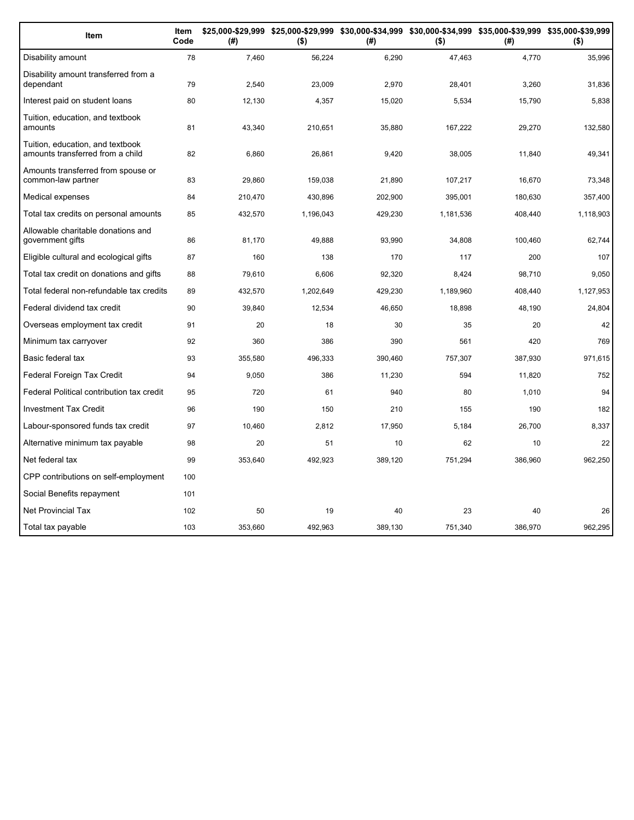| Item                                                                 | Item<br>Code | (#)     | $($ \$)   | (#)     | $($ \$)   | \$25,000-\$29,999 \$25,000-\$29,999 \$30,000-\$34,999 \$30,000-\$34,999 \$35,000-\$39,999 \$35,000-\$39,999<br>(# ) | $($ \$)   |
|----------------------------------------------------------------------|--------------|---------|-----------|---------|-----------|---------------------------------------------------------------------------------------------------------------------|-----------|
| Disability amount                                                    | 78           | 7,460   | 56,224    | 6,290   | 47,463    | 4,770                                                                                                               | 35,996    |
| Disability amount transferred from a<br>dependant                    | 79           | 2,540   | 23,009    | 2,970   | 28,401    | 3,260                                                                                                               | 31,836    |
| Interest paid on student loans                                       | 80           | 12,130  | 4,357     | 15,020  | 5,534     | 15,790                                                                                                              | 5,838     |
| Tuition, education, and textbook<br>amounts                          | 81           | 43,340  | 210,651   | 35,880  | 167,222   | 29,270                                                                                                              | 132,580   |
| Tuition, education, and textbook<br>amounts transferred from a child | 82           | 6,860   | 26,861    | 9,420   | 38,005    | 11,840                                                                                                              | 49,341    |
| Amounts transferred from spouse or<br>common-law partner             | 83           | 29,860  | 159,038   | 21,890  | 107,217   | 16,670                                                                                                              | 73,348    |
| Medical expenses                                                     | 84           | 210,470 | 430,896   | 202,900 | 395,001   | 180,630                                                                                                             | 357,400   |
| Total tax credits on personal amounts                                | 85           | 432,570 | 1,196,043 | 429,230 | 1,181,536 | 408,440                                                                                                             | 1,118,903 |
| Allowable charitable donations and<br>government gifts               | 86           | 81,170  | 49,888    | 93,990  | 34,808    | 100,460                                                                                                             | 62,744    |
| Eligible cultural and ecological gifts                               | 87           | 160     | 138       | 170     | 117       | 200                                                                                                                 | 107       |
| Total tax credit on donations and gifts                              | 88           | 79,610  | 6,606     | 92,320  | 8,424     | 98,710                                                                                                              | 9,050     |
| Total federal non-refundable tax credits                             | 89           | 432,570 | 1,202,649 | 429,230 | 1,189,960 | 408,440                                                                                                             | 1,127,953 |
| Federal dividend tax credit                                          | 90           | 39,840  | 12,534    | 46,650  | 18,898    | 48,190                                                                                                              | 24,804    |
| Overseas employment tax credit                                       | 91           | 20      | 18        | 30      | 35        | 20                                                                                                                  | 42        |
| Minimum tax carryover                                                | 92           | 360     | 386       | 390     | 561       | 420                                                                                                                 | 769       |
| Basic federal tax                                                    | 93           | 355,580 | 496,333   | 390.460 | 757,307   | 387,930                                                                                                             | 971,615   |
| Federal Foreign Tax Credit                                           | 94           | 9.050   | 386       | 11,230  | 594       | 11,820                                                                                                              | 752       |
| Federal Political contribution tax credit                            | 95           | 720     | 61        | 940     | 80        | 1,010                                                                                                               | 94        |
| <b>Investment Tax Credit</b>                                         | 96           | 190     | 150       | 210     | 155       | 190                                                                                                                 | 182       |
| Labour-sponsored funds tax credit                                    | 97           | 10,460  | 2,812     | 17,950  | 5,184     | 26,700                                                                                                              | 8,337     |
| Alternative minimum tax payable                                      | 98           | 20      | 51        | 10      | 62        | 10                                                                                                                  | 22        |
| Net federal tax                                                      | 99           | 353,640 | 492,923   | 389,120 | 751,294   | 386,960                                                                                                             | 962,250   |
| CPP contributions on self-employment                                 | 100          |         |           |         |           |                                                                                                                     |           |
| Social Benefits repayment                                            | 101          |         |           |         |           |                                                                                                                     |           |
| Net Provincial Tax                                                   | 102          | 50      | 19        | 40      | 23        | 40                                                                                                                  | 26        |
| Total tax payable                                                    | 103          | 353,660 | 492,963   | 389,130 | 751,340   | 386,970                                                                                                             | 962,295   |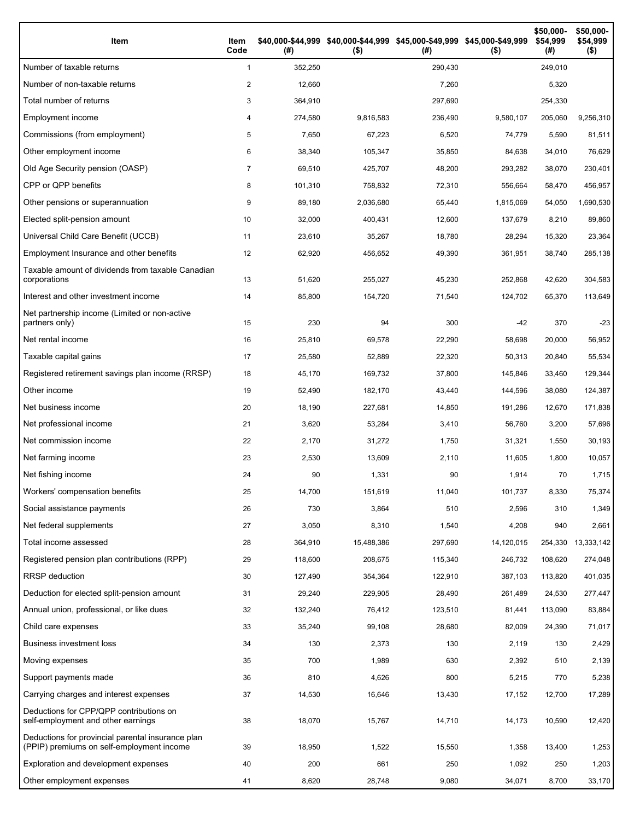| Item                                                                                           | Item<br>Code | (# )    | \$40,000-\$44,999 \$40,000-\$44,999 \$45,000-\$49,999 \$45,000-\$49,999<br>$($ \$) | (# )    | $($ \$)    | \$50,000-<br>\$54,999<br>(# ) | \$50,000-<br>\$54,999<br>$($ \$) |
|------------------------------------------------------------------------------------------------|--------------|---------|------------------------------------------------------------------------------------|---------|------------|-------------------------------|----------------------------------|
| Number of taxable returns                                                                      | $\mathbf{1}$ | 352,250 |                                                                                    | 290,430 |            | 249,010                       |                                  |
| Number of non-taxable returns                                                                  | 2            | 12,660  |                                                                                    | 7,260   |            | 5,320                         |                                  |
| Total number of returns                                                                        | 3            | 364,910 |                                                                                    | 297,690 |            | 254,330                       |                                  |
| Employment income                                                                              | 4            | 274,580 | 9,816,583                                                                          | 236,490 | 9,580,107  | 205,060                       | 9,256,310                        |
| Commissions (from employment)                                                                  | 5            | 7,650   | 67,223                                                                             | 6,520   | 74,779     | 5,590                         | 81,511                           |
| Other employment income                                                                        | 6            | 38,340  | 105,347                                                                            | 35,850  | 84,638     | 34,010                        | 76,629                           |
| Old Age Security pension (OASP)                                                                | 7            | 69,510  | 425,707                                                                            | 48,200  | 293,282    | 38,070                        | 230,401                          |
| CPP or QPP benefits                                                                            | 8            | 101,310 | 758,832                                                                            | 72,310  | 556,664    | 58,470                        | 456,957                          |
| Other pensions or superannuation                                                               | 9            | 89,180  | 2,036,680                                                                          | 65,440  | 1,815,069  | 54,050                        | 1,690,530                        |
| Elected split-pension amount                                                                   | 10           | 32,000  | 400,431                                                                            | 12,600  | 137,679    | 8,210                         | 89,860                           |
| Universal Child Care Benefit (UCCB)                                                            | 11           | 23,610  | 35,267                                                                             | 18,780  | 28,294     | 15,320                        | 23,364                           |
| Employment Insurance and other benefits                                                        | 12           | 62,920  | 456,652                                                                            | 49,390  | 361,951    | 38,740                        | 285,138                          |
| Taxable amount of dividends from taxable Canadian<br>corporations                              | 13           | 51,620  | 255,027                                                                            | 45,230  | 252,868    | 42,620                        | 304,583                          |
| Interest and other investment income                                                           | 14           | 85,800  | 154,720                                                                            | 71,540  | 124,702    | 65,370                        | 113,649                          |
| Net partnership income (Limited or non-active<br>partners only)                                | 15           | 230     | 94                                                                                 | 300     | $-42$      | 370                           | $-23$                            |
| Net rental income                                                                              | 16           | 25,810  | 69,578                                                                             | 22,290  | 58,698     | 20,000                        | 56,952                           |
| Taxable capital gains                                                                          | 17           | 25,580  | 52,889                                                                             | 22,320  | 50,313     | 20,840                        | 55,534                           |
| Registered retirement savings plan income (RRSP)                                               | 18           | 45,170  | 169,732                                                                            | 37,800  | 145,846    | 33,460                        | 129,344                          |
| Other income                                                                                   | 19           | 52,490  | 182,170                                                                            | 43,440  | 144,596    | 38,080                        | 124,387                          |
| Net business income                                                                            | 20           | 18,190  | 227,681                                                                            | 14,850  | 191,286    | 12,670                        | 171,838                          |
| Net professional income                                                                        | 21           | 3,620   | 53,284                                                                             | 3,410   | 56,760     | 3,200                         | 57,696                           |
| Net commission income                                                                          | 22           | 2,170   | 31,272                                                                             | 1,750   | 31,321     | 1,550                         | 30,193                           |
| Net farming income                                                                             | 23           | 2,530   | 13,609                                                                             | 2,110   | 11,605     | 1,800                         | 10,057                           |
| Net fishing income                                                                             | 24           | 90      | 1,331                                                                              | 90      | 1,914      | 70                            | 1,715                            |
| Workers' compensation benefits                                                                 | 25           | 14,700  | 151,619                                                                            | 11,040  | 101,737    | 8,330                         | 75,374                           |
| Social assistance payments                                                                     | 26           | 730     | 3,864                                                                              | 510     | 2,596      | 310                           | 1,349                            |
| Net federal supplements                                                                        | 27           | 3,050   | 8,310                                                                              | 1,540   | 4,208      | 940                           | 2,661                            |
| Total income assessed                                                                          | 28           | 364,910 | 15,488,386                                                                         | 297,690 | 14,120,015 | 254,330                       | 13,333,142                       |
| Registered pension plan contributions (RPP)                                                    | 29           | 118,600 | 208,675                                                                            | 115,340 | 246,732    | 108,620                       | 274,048                          |
| RRSP deduction                                                                                 | 30           | 127,490 | 354,364                                                                            | 122,910 | 387,103    | 113,820                       | 401,035                          |
| Deduction for elected split-pension amount                                                     | 31           | 29,240  | 229,905                                                                            | 28,490  | 261,489    | 24,530                        | 277,447                          |
| Annual union, professional, or like dues                                                       | 32           | 132,240 | 76,412                                                                             | 123,510 | 81,441     | 113,090                       | 83,884                           |
| Child care expenses                                                                            | 33           | 35,240  | 99,108                                                                             | 28,680  | 82,009     | 24,390                        | 71,017                           |
| <b>Business investment loss</b>                                                                | 34           | 130     | 2,373                                                                              | 130     | 2,119      | 130                           | 2,429                            |
| Moving expenses                                                                                | 35           | 700     | 1,989                                                                              | 630     | 2,392      | 510                           | 2,139                            |
| Support payments made                                                                          | 36           | 810     | 4,626                                                                              | 800     | 5,215      | 770                           | 5,238                            |
| Carrying charges and interest expenses                                                         | 37           | 14,530  | 16,646                                                                             | 13,430  | 17,152     | 12,700                        | 17,289                           |
| Deductions for CPP/QPP contributions on<br>self-employment and other earnings                  | 38           | 18,070  | 15,767                                                                             | 14,710  | 14,173     | 10,590                        | 12,420                           |
| Deductions for provincial parental insurance plan<br>(PPIP) premiums on self-employment income | 39           | 18,950  | 1,522                                                                              | 15,550  | 1,358      | 13,400                        | 1,253                            |
| Exploration and development expenses                                                           | 40           | 200     | 661                                                                                | 250     | 1,092      | 250                           | 1,203                            |
| Other employment expenses                                                                      | 41           | 8,620   | 28,748                                                                             | 9,080   | 34,071     | 8,700                         | 33,170                           |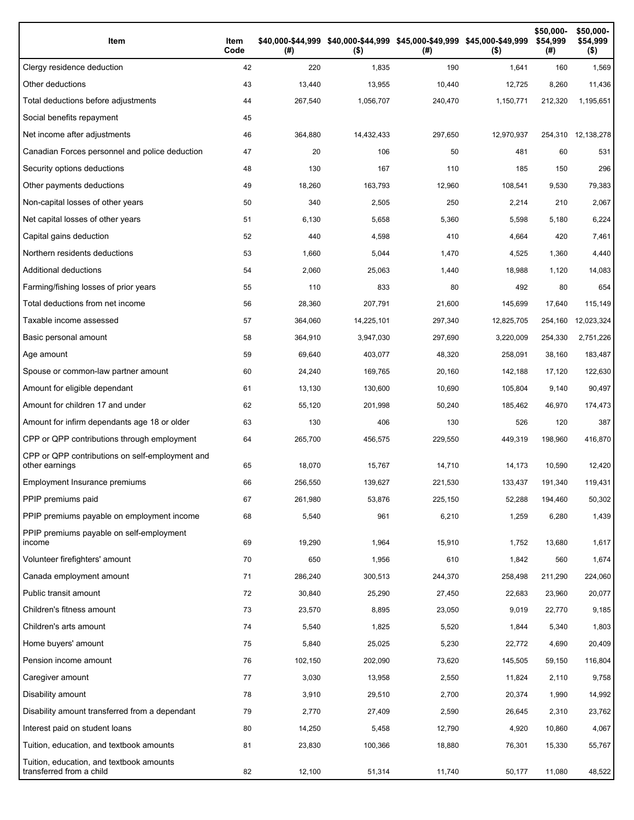| Item                                                                 | Item<br>Code | (# )    | $($ \$)    | \$40,000-\$44,999 \$40,000-\$44,999 \$45,000-\$49,999 \$45,000-\$49,999<br>(#) | $($ \$)    | \$50,000-<br>\$54,999<br>(#) | \$50,000-<br>\$54,999<br>$($ \$) |
|----------------------------------------------------------------------|--------------|---------|------------|--------------------------------------------------------------------------------|------------|------------------------------|----------------------------------|
| Clergy residence deduction                                           | 42           | 220     | 1,835      | 190                                                                            | 1,641      | 160                          | 1,569                            |
| Other deductions                                                     | 43           | 13,440  | 13,955     | 10,440                                                                         | 12,725     | 8,260                        | 11,436                           |
| Total deductions before adjustments                                  | 44           | 267,540 | 1,056,707  | 240,470                                                                        | 1,150,771  | 212,320                      | 1,195,651                        |
| Social benefits repayment                                            | 45           |         |            |                                                                                |            |                              |                                  |
| Net income after adjustments                                         | 46           | 364,880 | 14,432,433 | 297,650                                                                        | 12,970,937 |                              | 254,310 12,138,278               |
| Canadian Forces personnel and police deduction                       | 47           | 20      | 106        | 50                                                                             | 481        | 60                           | 531                              |
| Security options deductions                                          | 48           | 130     | 167        | 110                                                                            | 185        | 150                          | 296                              |
| Other payments deductions                                            | 49           | 18,260  | 163,793    | 12,960                                                                         | 108,541    | 9,530                        | 79,383                           |
| Non-capital losses of other years                                    | 50           | 340     | 2,505      | 250                                                                            | 2,214      | 210                          | 2,067                            |
| Net capital losses of other years                                    | 51           | 6,130   | 5,658      | 5,360                                                                          | 5,598      | 5,180                        | 6,224                            |
| Capital gains deduction                                              | 52           | 440     | 4,598      | 410                                                                            | 4,664      | 420                          | 7,461                            |
| Northern residents deductions                                        | 53           | 1,660   | 5,044      | 1,470                                                                          | 4,525      | 1,360                        | 4,440                            |
| Additional deductions                                                | 54           | 2,060   | 25,063     | 1,440                                                                          | 18,988     | 1,120                        | 14,083                           |
| Farming/fishing losses of prior years                                | 55           | 110     | 833        | 80                                                                             | 492        | 80                           | 654                              |
| Total deductions from net income                                     | 56           | 28,360  | 207,791    | 21,600                                                                         | 145,699    | 17,640                       | 115,149                          |
| Taxable income assessed                                              | 57           | 364,060 | 14,225,101 | 297,340                                                                        | 12,825,705 | 254,160                      | 12,023,324                       |
| Basic personal amount                                                | 58           | 364,910 | 3,947,030  | 297,690                                                                        | 3,220,009  | 254,330                      | 2,751,226                        |
| Age amount                                                           | 59           | 69,640  | 403,077    | 48,320                                                                         | 258,091    | 38,160                       | 183,487                          |
| Spouse or common-law partner amount                                  | 60           | 24,240  | 169,765    | 20,160                                                                         | 142,188    | 17,120                       | 122,630                          |
| Amount for eligible dependant                                        | 61           | 13,130  | 130,600    | 10,690                                                                         | 105,804    | 9,140                        | 90,497                           |
| Amount for children 17 and under                                     | 62           | 55,120  | 201,998    | 50,240                                                                         | 185,462    | 46,970                       | 174,473                          |
| Amount for infirm dependants age 18 or older                         | 63           | 130     | 406        | 130                                                                            | 526        | 120                          | 387                              |
| CPP or QPP contributions through employment                          | 64           | 265,700 | 456,575    | 229,550                                                                        | 449,319    | 198,960                      | 416,870                          |
| CPP or QPP contributions on self-employment and<br>other earnings    | 65           | 18,070  | 15,767     | 14,710                                                                         | 14,173     | 10,590                       | 12,420                           |
| Employment Insurance premiums                                        | 66           | 256,550 | 139.627    | 221,530                                                                        | 133,437    | 191,340                      | 119,431                          |
| PPIP premiums paid                                                   | 67           | 261,980 | 53,876     | 225,150                                                                        | 52,288     | 194,460                      | 50,302                           |
| PPIP premiums payable on employment income                           | 68           | 5,540   | 961        | 6,210                                                                          | 1,259      | 6,280                        | 1,439                            |
| PPIP premiums payable on self-employment<br>income                   | 69           | 19,290  | 1,964      | 15,910                                                                         | 1,752      | 13,680                       | 1,617                            |
| Volunteer firefighters' amount                                       | 70           | 650     | 1,956      | 610                                                                            | 1,842      | 560                          | 1,674                            |
| Canada employment amount                                             | 71           | 286,240 | 300,513    | 244,370                                                                        | 258,498    | 211,290                      | 224,060                          |
| Public transit amount                                                | 72           | 30,840  | 25,290     | 27,450                                                                         | 22,683     | 23,960                       | 20,077                           |
| Children's fitness amount                                            | 73           | 23,570  | 8,895      | 23,050                                                                         | 9,019      | 22,770                       | 9,185                            |
| Children's arts amount                                               | 74           | 5,540   | 1,825      | 5,520                                                                          | 1,844      | 5,340                        | 1,803                            |
| Home buyers' amount                                                  | 75           | 5,840   | 25,025     | 5,230                                                                          | 22,772     | 4,690                        | 20,409                           |
| Pension income amount                                                | 76           | 102,150 | 202,090    | 73,620                                                                         | 145,505    | 59,150                       | 116,804                          |
| Caregiver amount                                                     | 77           | 3,030   | 13,958     | 2,550                                                                          | 11,824     | 2,110                        | 9,758                            |
| Disability amount                                                    | 78           | 3,910   | 29,510     | 2,700                                                                          | 20,374     | 1,990                        | 14,992                           |
| Disability amount transferred from a dependant                       | 79           | 2,770   | 27,409     | 2,590                                                                          | 26,645     | 2,310                        | 23,762                           |
| Interest paid on student loans                                       | 80           | 14,250  | 5,458      | 12,790                                                                         | 4,920      | 10,860                       | 4,067                            |
| Tuition, education, and textbook amounts                             | 81           | 23,830  | 100,366    | 18,880                                                                         | 76,301     | 15,330                       | 55,767                           |
| Tuition, education, and textbook amounts<br>transferred from a child | 82           | 12,100  | 51,314     | 11,740                                                                         | 50,177     | 11,080                       | 48,522                           |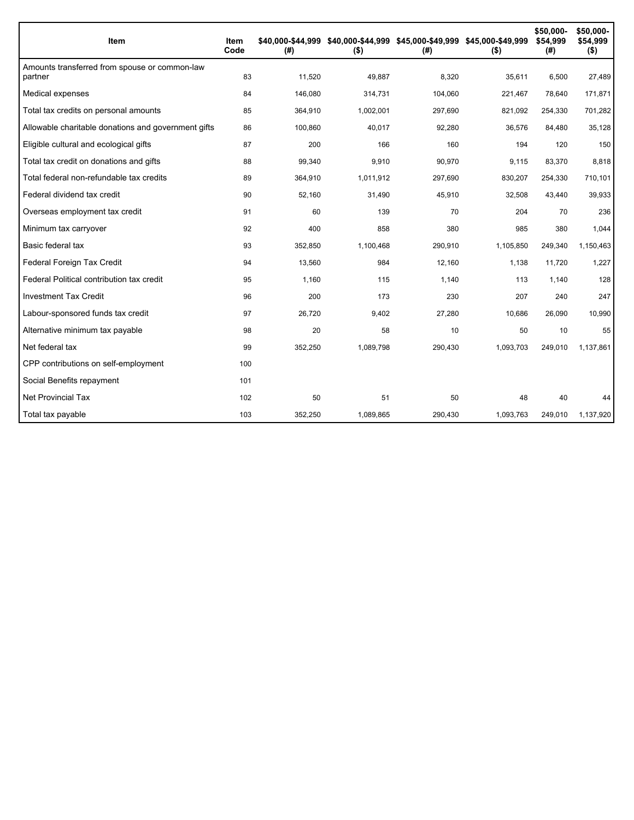| Item                                                     | ltem<br>Code | \$40,000-\$44.999<br>(# ) | \$40,000-\$44,999 \$45,000-\$49,999 \$45,000-\$49,999<br>$($ \$) | (# )    | $($ \$)   | \$50,000-<br>\$54,999<br>(#) | \$50,000-<br>\$54,999<br>$($ \$) |
|----------------------------------------------------------|--------------|---------------------------|------------------------------------------------------------------|---------|-----------|------------------------------|----------------------------------|
| Amounts transferred from spouse or common-law<br>partner | 83           | 11,520                    | 49,887                                                           | 8,320   | 35,611    | 6,500                        | 27,489                           |
| Medical expenses                                         | 84           | 146.080                   | 314,731                                                          | 104,060 | 221,467   | 78,640                       | 171,871                          |
| Total tax credits on personal amounts                    | 85           | 364,910                   | 1,002,001                                                        | 297,690 | 821,092   | 254,330                      | 701,282                          |
| Allowable charitable donations and government gifts      | 86           | 100,860                   | 40,017                                                           | 92,280  | 36,576    | 84,480                       | 35,128                           |
| Eligible cultural and ecological gifts                   | 87           | 200                       | 166                                                              | 160     | 194       | 120                          | 150                              |
| Total tax credit on donations and gifts                  | 88           | 99,340                    | 9,910                                                            | 90,970  | 9,115     | 83,370                       | 8,818                            |
| Total federal non-refundable tax credits                 | 89           | 364,910                   | 1,011,912                                                        | 297,690 | 830,207   | 254,330                      | 710,101                          |
| Federal dividend tax credit                              | 90           | 52,160                    | 31,490                                                           | 45,910  | 32,508    | 43,440                       | 39,933                           |
| Overseas employment tax credit                           | 91           | 60                        | 139                                                              | 70      | 204       | 70                           | 236                              |
| Minimum tax carryover                                    | 92           | 400                       | 858                                                              | 380     | 985       | 380                          | 1,044                            |
| Basic federal tax                                        | 93           | 352.850                   | 1,100,468                                                        | 290,910 | 1,105,850 | 249,340                      | 1,150,463                        |
| Federal Foreign Tax Credit                               | 94           | 13,560                    | 984                                                              | 12,160  | 1,138     | 11,720                       | 1,227                            |
| Federal Political contribution tax credit                | 95           | 1,160                     | 115                                                              | 1,140   | 113       | 1,140                        | 128                              |
| <b>Investment Tax Credit</b>                             | 96           | 200                       | 173                                                              | 230     | 207       | 240                          | 247                              |
| Labour-sponsored funds tax credit                        | 97           | 26,720                    | 9,402                                                            | 27,280  | 10,686    | 26,090                       | 10,990                           |
| Alternative minimum tax payable                          | 98           | 20                        | 58                                                               | 10      | 50        | 10                           | 55                               |
| Net federal tax                                          | 99           | 352,250                   | 1,089,798                                                        | 290,430 | 1,093,703 | 249,010                      | 1,137,861                        |
| CPP contributions on self-employment                     | 100          |                           |                                                                  |         |           |                              |                                  |
| Social Benefits repayment                                | 101          |                           |                                                                  |         |           |                              |                                  |
| Net Provincial Tax                                       | 102          | 50                        | 51                                                               | 50      | 48        | 40                           | 44                               |
| Total tax payable                                        | 103          | 352,250                   | 1,089,865                                                        | 290,430 | 1,093,763 | 249,010                      | 1,137,920                        |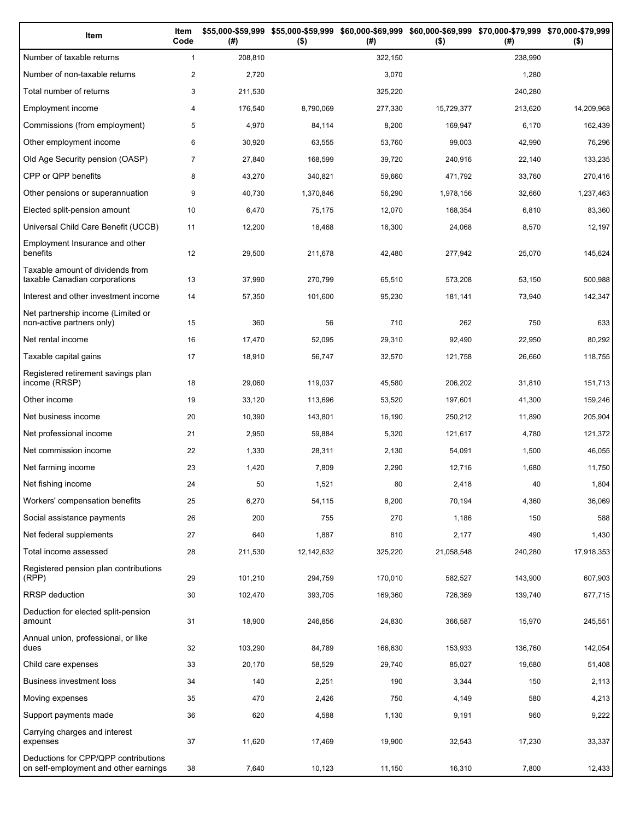| Item                                                                          | Item<br>Code   | (# )    | \$55,000-\$59,999 \$55,000-\$59,999<br>$($ \$) | (# )    | \$60,000-\$69,999 \$60,000-\$69,999 \$70,000-\$79,999 \$70,000-\$79,999<br>$($ \$) | (#)     | $($ \$)    |
|-------------------------------------------------------------------------------|----------------|---------|------------------------------------------------|---------|------------------------------------------------------------------------------------|---------|------------|
| Number of taxable returns                                                     | $\mathbf{1}$   | 208,810 |                                                | 322,150 |                                                                                    | 238,990 |            |
| Number of non-taxable returns                                                 | $\overline{2}$ | 2,720   |                                                | 3,070   |                                                                                    | 1,280   |            |
| Total number of returns                                                       | 3              | 211,530 |                                                | 325,220 |                                                                                    | 240,280 |            |
| Employment income                                                             | 4              | 176,540 | 8,790,069                                      | 277,330 | 15,729,377                                                                         | 213,620 | 14,209,968 |
| Commissions (from employment)                                                 | 5              | 4,970   | 84,114                                         | 8,200   | 169,947                                                                            | 6,170   | 162,439    |
| Other employment income                                                       | 6              | 30,920  | 63,555                                         | 53,760  | 99,003                                                                             | 42,990  | 76,296     |
| Old Age Security pension (OASP)                                               | $\overline{7}$ | 27,840  | 168,599                                        | 39,720  | 240,916                                                                            | 22,140  | 133,235    |
| CPP or QPP benefits                                                           | 8              | 43,270  | 340,821                                        | 59,660  | 471,792                                                                            | 33,760  | 270,416    |
| Other pensions or superannuation                                              | 9              | 40,730  | 1,370,846                                      | 56,290  | 1,978,156                                                                          | 32,660  | 1,237,463  |
| Elected split-pension amount                                                  | 10             | 6,470   | 75,175                                         | 12,070  | 168,354                                                                            | 6,810   | 83,360     |
| Universal Child Care Benefit (UCCB)                                           | 11             | 12,200  | 18,468                                         | 16,300  | 24,068                                                                             | 8,570   | 12,197     |
| Employment Insurance and other<br>benefits                                    | 12             | 29,500  | 211,678                                        | 42,480  | 277,942                                                                            | 25,070  | 145,624    |
| Taxable amount of dividends from<br>taxable Canadian corporations             | 13             | 37,990  | 270,799                                        | 65,510  | 573,208                                                                            | 53,150  | 500,988    |
| Interest and other investment income                                          | 14             | 57,350  | 101,600                                        | 95,230  | 181,141                                                                            | 73,940  | 142,347    |
| Net partnership income (Limited or<br>non-active partners only)               | 15             | 360     | 56                                             | 710     | 262                                                                                | 750     | 633        |
| Net rental income                                                             | 16             | 17,470  | 52,095                                         | 29,310  | 92,490                                                                             | 22,950  | 80,292     |
| Taxable capital gains                                                         | 17             | 18,910  | 56,747                                         | 32,570  | 121,758                                                                            | 26,660  | 118,755    |
| Registered retirement savings plan<br>income (RRSP)                           | 18             | 29,060  | 119,037                                        | 45,580  | 206,202                                                                            | 31,810  | 151,713    |
| Other income                                                                  | 19             | 33,120  | 113,696                                        | 53,520  | 197,601                                                                            | 41,300  | 159,246    |
| Net business income                                                           | 20             | 10,390  | 143,801                                        | 16,190  | 250,212                                                                            | 11,890  | 205,904    |
| Net professional income                                                       | 21             | 2,950   | 59,884                                         | 5,320   | 121,617                                                                            | 4,780   | 121,372    |
| Net commission income                                                         | 22             | 1,330   | 28,311                                         | 2,130   | 54,091                                                                             | 1,500   | 46,055     |
| Net farming income                                                            | 23             | 1,420   | 7,809                                          | 2,290   | 12,716                                                                             | 1,680   | 11,750     |
| Net fishing income                                                            | 24             | 50      | 1,521                                          | 80      | 2,418                                                                              | 40      | 1,804      |
| Workers' compensation benefits                                                | 25             | 6,270   | 54,115                                         | 8,200   | 70,194                                                                             | 4,360   | 36,069     |
| Social assistance payments                                                    | 26             | 200     | 755                                            | 270     | 1,186                                                                              | 150     | 588        |
| Net federal supplements                                                       | 27             | 640     | 1,887                                          | 810     | 2,177                                                                              | 490     | 1,430      |
| Total income assessed                                                         | 28             | 211,530 | 12,142,632                                     | 325,220 | 21,058,548                                                                         | 240,280 | 17,918,353 |
| Registered pension plan contributions<br>(RPP)                                | 29             | 101,210 | 294,759                                        | 170,010 | 582,527                                                                            | 143,900 | 607,903    |
| <b>RRSP</b> deduction                                                         | 30             | 102,470 | 393,705                                        | 169,360 | 726,369                                                                            | 139,740 | 677,715    |
| Deduction for elected split-pension<br>amount                                 | 31             | 18,900  | 246,856                                        | 24,830  | 366,587                                                                            | 15,970  | 245,551    |
| Annual union, professional, or like<br>dues                                   | 32             | 103,290 | 84,789                                         | 166,630 | 153,933                                                                            | 136,760 | 142,054    |
| Child care expenses                                                           | 33             | 20,170  | 58,529                                         | 29,740  | 85,027                                                                             | 19,680  | 51,408     |
| Business investment loss                                                      | 34             | 140     | 2,251                                          | 190     | 3,344                                                                              | 150     | 2,113      |
| Moving expenses                                                               | 35             | 470     | 2,426                                          | 750     | 4,149                                                                              | 580     | 4,213      |
| Support payments made                                                         | 36             | 620     | 4,588                                          | 1,130   | 9,191                                                                              | 960     | 9,222      |
| Carrying charges and interest<br>expenses                                     | 37             | 11,620  | 17,469                                         | 19,900  | 32,543                                                                             | 17,230  | 33,337     |
| Deductions for CPP/QPP contributions<br>on self-employment and other earnings | 38             | 7,640   | 10,123                                         | 11,150  | 16,310                                                                             | 7,800   | 12,433     |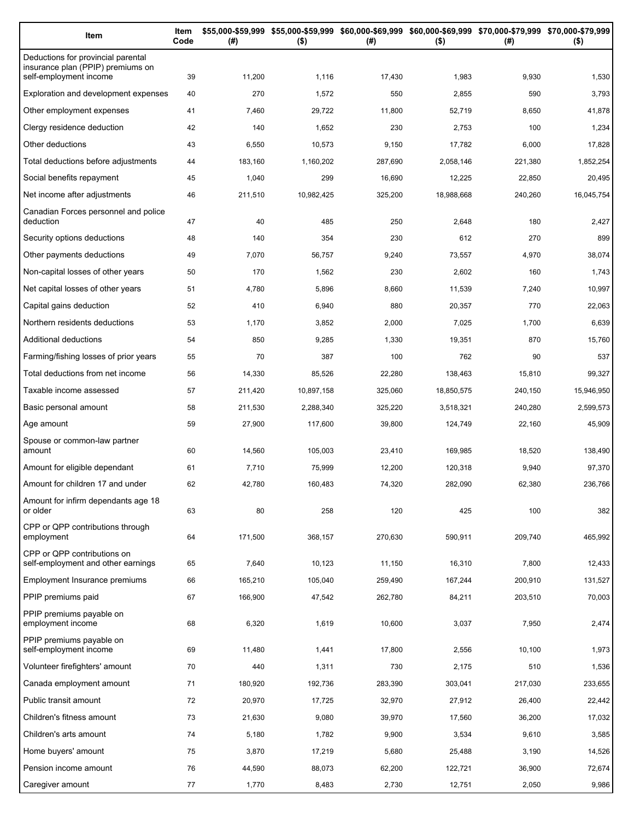| Item                                                                                              | Item<br>Code | (#)     | $($ \$)    | \$55,000-\$59,999 \$55,000-\$59,999 \$60,000-\$69,999 \$60,000-\$69,999 \$70,000-\$79,999 \$70,000-\$79,999<br>(#) | $($ \$)    | (# )    | $($ \$)    |
|---------------------------------------------------------------------------------------------------|--------------|---------|------------|--------------------------------------------------------------------------------------------------------------------|------------|---------|------------|
| Deductions for provincial parental<br>insurance plan (PPIP) premiums on<br>self-employment income | 39           | 11,200  | 1,116      | 17,430                                                                                                             | 1,983      | 9,930   | 1,530      |
| Exploration and development expenses                                                              | 40           | 270     | 1,572      | 550                                                                                                                | 2,855      | 590     | 3,793      |
| Other employment expenses                                                                         | 41           | 7,460   | 29,722     | 11,800                                                                                                             | 52,719     | 8,650   | 41,878     |
| Clergy residence deduction                                                                        | 42           | 140     | 1,652      | 230                                                                                                                | 2,753      | 100     | 1,234      |
| Other deductions                                                                                  | 43           | 6,550   | 10,573     | 9,150                                                                                                              | 17,782     | 6,000   | 17,828     |
| Total deductions before adjustments                                                               | 44           | 183,160 | 1,160,202  | 287,690                                                                                                            | 2,058,146  | 221,380 | 1,852,254  |
| Social benefits repayment                                                                         | 45           | 1,040   | 299        | 16,690                                                                                                             | 12,225     | 22,850  | 20,495     |
| Net income after adjustments                                                                      | 46           | 211,510 | 10,982,425 | 325,200                                                                                                            | 18,988,668 | 240,260 | 16,045,754 |
| Canadian Forces personnel and police<br>deduction                                                 | 47           | 40      | 485        | 250                                                                                                                | 2,648      | 180     | 2,427      |
| Security options deductions                                                                       | 48           | 140     | 354        | 230                                                                                                                | 612        | 270     | 899        |
| Other payments deductions                                                                         | 49           | 7,070   | 56,757     | 9,240                                                                                                              | 73,557     | 4,970   | 38,074     |
| Non-capital losses of other years                                                                 | 50           | 170     | 1,562      | 230                                                                                                                | 2,602      | 160     | 1,743      |
| Net capital losses of other years                                                                 | 51           | 4,780   | 5,896      | 8,660                                                                                                              | 11,539     | 7,240   | 10,997     |
| Capital gains deduction                                                                           | 52           | 410     | 6,940      | 880                                                                                                                | 20,357     | 770     | 22,063     |
| Northern residents deductions                                                                     | 53           | 1,170   | 3,852      | 2,000                                                                                                              | 7,025      | 1,700   | 6,639      |
| Additional deductions                                                                             | 54           | 850     | 9,285      | 1,330                                                                                                              | 19,351     | 870     | 15,760     |
| Farming/fishing losses of prior years                                                             | 55           | 70      | 387        | 100                                                                                                                | 762        | 90      | 537        |
| Total deductions from net income                                                                  | 56           | 14,330  | 85,526     | 22,280                                                                                                             | 138,463    | 15,810  | 99,327     |
| Taxable income assessed                                                                           | 57           | 211,420 | 10,897,158 | 325,060                                                                                                            | 18,850,575 | 240,150 | 15,946,950 |
| Basic personal amount                                                                             | 58           | 211,530 | 2,288,340  | 325,220                                                                                                            | 3,518,321  | 240,280 | 2,599,573  |
| Age amount                                                                                        | 59           | 27,900  | 117,600    | 39,800                                                                                                             | 124,749    | 22,160  | 45,909     |
| Spouse or common-law partner                                                                      |              |         |            |                                                                                                                    |            |         |            |
| amount                                                                                            | 60           | 14,560  | 105,003    | 23,410                                                                                                             | 169,985    | 18,520  | 138,490    |
| Amount for eligible dependant                                                                     | 61           | 7,710   | 75,999     | 12,200                                                                                                             | 120,318    | 9,940   | 97,370     |
| Amount for children 17 and under                                                                  | 62           | 42,780  | 160,483    | 74,320                                                                                                             | 282,090    | 62,380  | 236,766    |
| Amount for infirm dependants age 18<br>or older                                                   | 63           | 80      | 258        | 120                                                                                                                | 425        | 100     | 382        |
| CPP or QPP contributions through<br>employment                                                    | 64           | 171,500 | 368,157    | 270,630                                                                                                            | 590,911    | 209,740 | 465,992    |
| CPP or QPP contributions on<br>self-employment and other earnings                                 | 65           | 7,640   | 10,123     | 11,150                                                                                                             | 16,310     | 7,800   | 12,433     |
| Employment Insurance premiums                                                                     | 66           | 165,210 | 105,040    | 259,490                                                                                                            | 167,244    | 200,910 | 131,527    |
| PPIP premiums paid                                                                                | 67           | 166,900 | 47,542     | 262,780                                                                                                            | 84,211     | 203,510 | 70,003     |
| PPIP premiums payable on<br>employment income                                                     | 68           | 6,320   | 1,619      | 10,600                                                                                                             | 3,037      | 7,950   | 2,474      |
| PPIP premiums payable on<br>self-employment income                                                | 69           | 11,480  | 1,441      | 17,800                                                                                                             | 2,556      | 10,100  | 1,973      |
| Volunteer firefighters' amount                                                                    | 70           | 440     | 1,311      | 730                                                                                                                | 2,175      | 510     | 1,536      |
| Canada employment amount                                                                          | 71           | 180,920 | 192,736    | 283,390                                                                                                            | 303,041    | 217,030 | 233,655    |
| Public transit amount                                                                             | 72           | 20,970  | 17,725     | 32,970                                                                                                             | 27,912     | 26,400  | 22,442     |
| Children's fitness amount                                                                         | 73           | 21,630  | 9,080      | 39,970                                                                                                             | 17,560     | 36,200  | 17,032     |
| Children's arts amount                                                                            | 74           | 5,180   | 1,782      | 9,900                                                                                                              | 3,534      | 9,610   | 3,585      |
| Home buyers' amount                                                                               | 75           | 3,870   | 17,219     | 5,680                                                                                                              | 25,488     | 3,190   | 14,526     |
| Pension income amount                                                                             | 76           | 44,590  | 88,073     | 62,200                                                                                                             | 122,721    | 36,900  | 72,674     |
| Caregiver amount                                                                                  | 77           | 1,770   | 8,483      | 2,730                                                                                                              | 12,751     | 2,050   | 9,986      |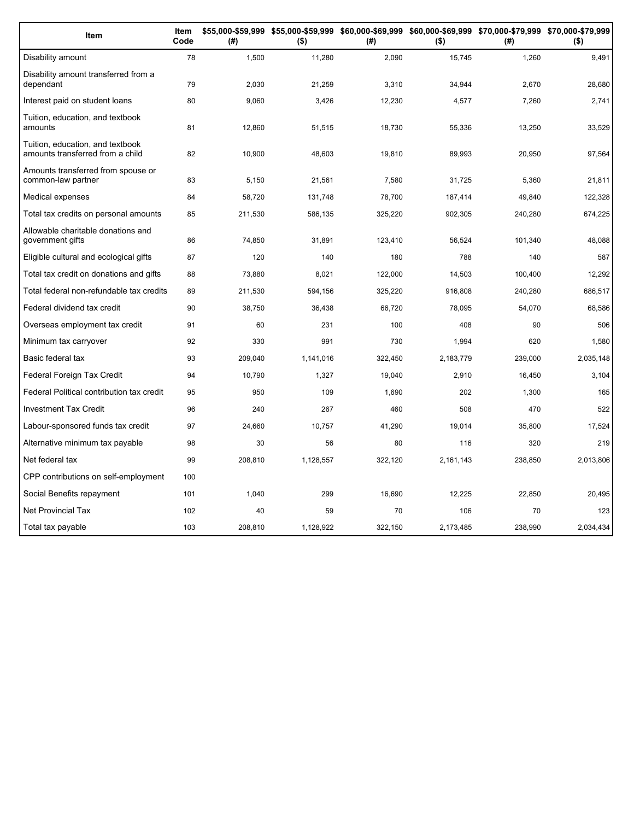| Item                                                                 | Item<br>Code | (#)     | \$55,000-\$59,999 \$55,000-\$59,999 \$60,000-\$69,999 \$60,000-\$69,999 \$70,000-\$79,999 \$70,000-\$79,999<br>$($ \$) | (#)     | $($ \$)   | (#)     | $($ \$)   |
|----------------------------------------------------------------------|--------------|---------|------------------------------------------------------------------------------------------------------------------------|---------|-----------|---------|-----------|
| Disability amount                                                    | 78           | 1,500   | 11,280                                                                                                                 | 2,090   | 15,745    | 1,260   | 9,491     |
| Disability amount transferred from a<br>dependant                    | 79           | 2,030   | 21,259                                                                                                                 | 3,310   | 34,944    | 2,670   | 28,680    |
| Interest paid on student loans                                       | 80           | 9,060   | 3,426                                                                                                                  | 12,230  | 4,577     | 7,260   | 2,741     |
| Tuition, education, and textbook<br>amounts                          | 81           | 12,860  | 51,515                                                                                                                 | 18,730  | 55,336    | 13,250  | 33,529    |
| Tuition, education, and textbook<br>amounts transferred from a child | 82           | 10,900  | 48,603                                                                                                                 | 19,810  | 89,993    | 20,950  | 97,564    |
| Amounts transferred from spouse or<br>common-law partner             | 83           | 5,150   | 21,561                                                                                                                 | 7,580   | 31,725    | 5,360   | 21,811    |
| Medical expenses                                                     | 84           | 58,720  | 131,748                                                                                                                | 78,700  | 187,414   | 49,840  | 122,328   |
| Total tax credits on personal amounts                                | 85           | 211,530 | 586,135                                                                                                                | 325,220 | 902,305   | 240,280 | 674,225   |
| Allowable charitable donations and<br>government gifts               | 86           | 74,850  | 31,891                                                                                                                 | 123,410 | 56,524    | 101,340 | 48,088    |
| Eligible cultural and ecological gifts                               | 87           | 120     | 140                                                                                                                    | 180     | 788       | 140     | 587       |
| Total tax credit on donations and gifts                              | 88           | 73,880  | 8,021                                                                                                                  | 122,000 | 14,503    | 100,400 | 12,292    |
| Total federal non-refundable tax credits                             | 89           | 211,530 | 594,156                                                                                                                | 325,220 | 916,808   | 240,280 | 686.517   |
| Federal dividend tax credit                                          | 90           | 38,750  | 36,438                                                                                                                 | 66,720  | 78,095    | 54,070  | 68,586    |
| Overseas employment tax credit                                       | 91           | 60      | 231                                                                                                                    | 100     | 408       | 90      | 506       |
| Minimum tax carryover                                                | 92           | 330     | 991                                                                                                                    | 730     | 1,994     | 620     | 1,580     |
| Basic federal tax                                                    | 93           | 209,040 | 1,141,016                                                                                                              | 322,450 | 2,183,779 | 239,000 | 2,035,148 |
| Federal Foreign Tax Credit                                           | 94           | 10,790  | 1,327                                                                                                                  | 19,040  | 2,910     | 16,450  | 3,104     |
| Federal Political contribution tax credit                            | 95           | 950     | 109                                                                                                                    | 1,690   | 202       | 1,300   | 165       |
| Investment Tax Credit                                                | 96           | 240     | 267                                                                                                                    | 460     | 508       | 470     | 522       |
| Labour-sponsored funds tax credit                                    | 97           | 24,660  | 10,757                                                                                                                 | 41,290  | 19,014    | 35,800  | 17,524    |
| Alternative minimum tax payable                                      | 98           | 30      | 56                                                                                                                     | 80      | 116       | 320     | 219       |
| Net federal tax                                                      | 99           | 208,810 | 1,128,557                                                                                                              | 322,120 | 2,161,143 | 238,850 | 2,013,806 |
| CPP contributions on self-employment                                 | 100          |         |                                                                                                                        |         |           |         |           |
| Social Benefits repayment                                            | 101          | 1,040   | 299                                                                                                                    | 16,690  | 12.225    | 22,850  | 20,495    |
| <b>Net Provincial Tax</b>                                            | 102          | 40      | 59                                                                                                                     | 70      | 106       | 70      | 123       |
| Total tax payable                                                    | 103          | 208,810 | 1,128,922                                                                                                              | 322,150 | 2,173,485 | 238,990 | 2,034,434 |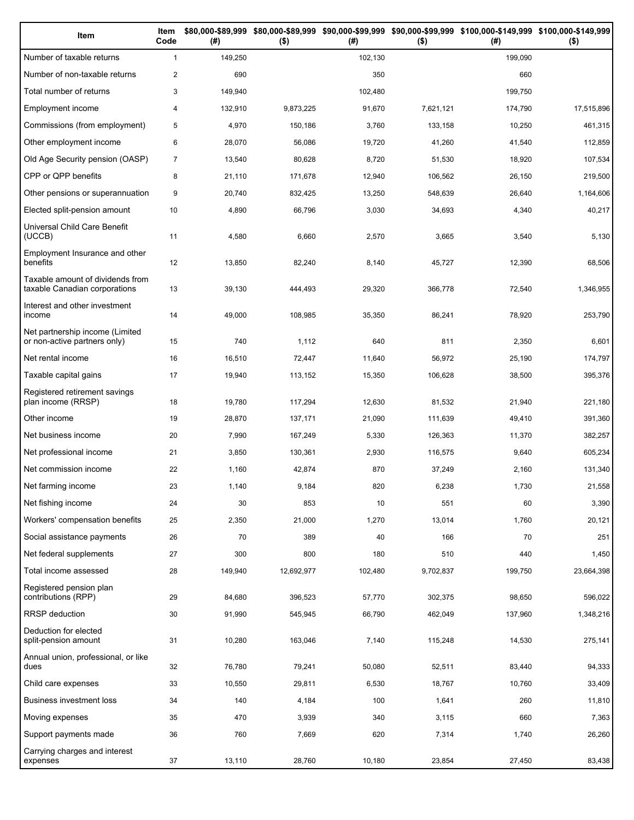| Item                                                              | Item<br>Code   | (# )    | $($ \$)    | (#)     | $($ \$)   | \$80,000-\$89,999 \$80,000-\$89,999 \$90,000-\$99,999 \$90,000-\$99,999 \$100,000-\$149,999 \$100,000-\$149,999<br>(# ) | $($ \$)    |
|-------------------------------------------------------------------|----------------|---------|------------|---------|-----------|-------------------------------------------------------------------------------------------------------------------------|------------|
| Number of taxable returns                                         | $\mathbf{1}$   | 149,250 |            | 102,130 |           | 199,090                                                                                                                 |            |
| Number of non-taxable returns                                     | $\overline{2}$ | 690     |            | 350     |           | 660                                                                                                                     |            |
| Total number of returns                                           | 3              | 149,940 |            | 102,480 |           | 199,750                                                                                                                 |            |
| Employment income                                                 | $\overline{4}$ | 132,910 | 9,873,225  | 91,670  | 7,621,121 | 174,790                                                                                                                 | 17,515,896 |
| Commissions (from employment)                                     | 5              | 4,970   | 150,186    | 3,760   | 133,158   | 10,250                                                                                                                  | 461,315    |
| Other employment income                                           | 6              | 28,070  | 56,086     | 19,720  | 41,260    | 41,540                                                                                                                  | 112,859    |
| Old Age Security pension (OASP)                                   | $\overline{7}$ | 13,540  | 80,628     | 8,720   | 51,530    | 18,920                                                                                                                  | 107,534    |
| CPP or QPP benefits                                               | 8              | 21,110  | 171,678    | 12,940  | 106,562   | 26,150                                                                                                                  | 219,500    |
| Other pensions or superannuation                                  | 9              | 20,740  | 832,425    | 13,250  | 548,639   | 26,640                                                                                                                  | 1,164,606  |
| Elected split-pension amount                                      | 10             | 4,890   | 66,796     | 3,030   | 34,693    | 4,340                                                                                                                   | 40,217     |
| Universal Child Care Benefit<br>(UCCB)                            | 11             | 4,580   | 6,660      | 2,570   | 3,665     | 3,540                                                                                                                   | 5,130      |
| Employment Insurance and other<br>benefits                        | 12             | 13,850  | 82,240     | 8,140   | 45,727    | 12,390                                                                                                                  | 68,506     |
| Taxable amount of dividends from<br>taxable Canadian corporations | 13             | 39,130  | 444,493    | 29,320  | 366,778   | 72,540                                                                                                                  | 1,346,955  |
| Interest and other investment<br>income                           | 14             | 49,000  | 108,985    | 35,350  | 86,241    | 78,920                                                                                                                  | 253,790    |
| Net partnership income (Limited<br>or non-active partners only)   | 15             | 740     | 1,112      | 640     | 811       | 2,350                                                                                                                   | 6,601      |
| Net rental income                                                 | 16             | 16,510  | 72,447     | 11,640  | 56,972    | 25,190                                                                                                                  | 174,797    |
| Taxable capital gains                                             | 17             | 19,940  | 113,152    | 15,350  | 106,628   | 38,500                                                                                                                  | 395,376    |
| Registered retirement savings<br>plan income (RRSP)               | 18             | 19,780  | 117,294    | 12,630  | 81,532    | 21,940                                                                                                                  | 221,180    |
| Other income                                                      | 19             | 28,870  | 137,171    | 21,090  | 111,639   | 49,410                                                                                                                  | 391,360    |
| Net business income                                               | 20             | 7,990   | 167,249    | 5,330   | 126,363   | 11,370                                                                                                                  | 382,257    |
| Net professional income                                           | 21             | 3,850   | 130,361    | 2,930   | 116,575   | 9,640                                                                                                                   | 605,234    |
| Net commission income                                             | 22             | 1,160   | 42,874     | 870     | 37,249    | 2,160                                                                                                                   | 131,340    |
| Net farming income                                                | 23             | 1,140   | 9,184      | 820     | 6,238     | 1,730                                                                                                                   | 21,558     |
| Net fishing income                                                | 24             | 30      | 853        | 10      | 551       | 60                                                                                                                      | 3,390      |
| Workers' compensation benefits                                    | 25             | 2,350   | 21,000     | 1,270   | 13,014    | 1,760                                                                                                                   | 20,121     |
| Social assistance payments                                        | 26             | 70      | 389        | 40      | 166       | 70                                                                                                                      | 251        |
| Net federal supplements                                           | 27             | 300     | 800        | 180     | 510       | 440                                                                                                                     | 1,450      |
| Total income assessed                                             | 28             | 149,940 | 12,692,977 | 102,480 | 9,702,837 | 199,750                                                                                                                 | 23,664,398 |
| Registered pension plan<br>contributions (RPP)                    | 29             | 84,680  | 396,523    | 57,770  | 302,375   | 98,650                                                                                                                  | 596,022    |
| <b>RRSP</b> deduction                                             | 30             | 91,990  | 545,945    | 66,790  | 462,049   | 137,960                                                                                                                 | 1,348,216  |
| Deduction for elected<br>split-pension amount                     | 31             | 10,280  | 163,046    | 7,140   | 115,248   | 14,530                                                                                                                  | 275,141    |
| Annual union, professional, or like<br>dues                       | 32             | 76,780  | 79,241     | 50,080  | 52,511    | 83,440                                                                                                                  | 94,333     |
| Child care expenses                                               | 33             | 10,550  | 29,811     | 6,530   | 18,767    | 10,760                                                                                                                  | 33,409     |
| Business investment loss                                          | 34             | 140     | 4,184      | 100     | 1,641     | 260                                                                                                                     | 11,810     |
| Moving expenses                                                   | 35             | 470     | 3,939      | 340     | 3,115     | 660                                                                                                                     | 7,363      |
| Support payments made                                             | 36             | 760     | 7,669      | 620     | 7,314     | 1,740                                                                                                                   | 26,260     |
| Carrying charges and interest<br>expenses                         | 37             | 13,110  | 28,760     | 10,180  | 23,854    | 27,450                                                                                                                  | 83,438     |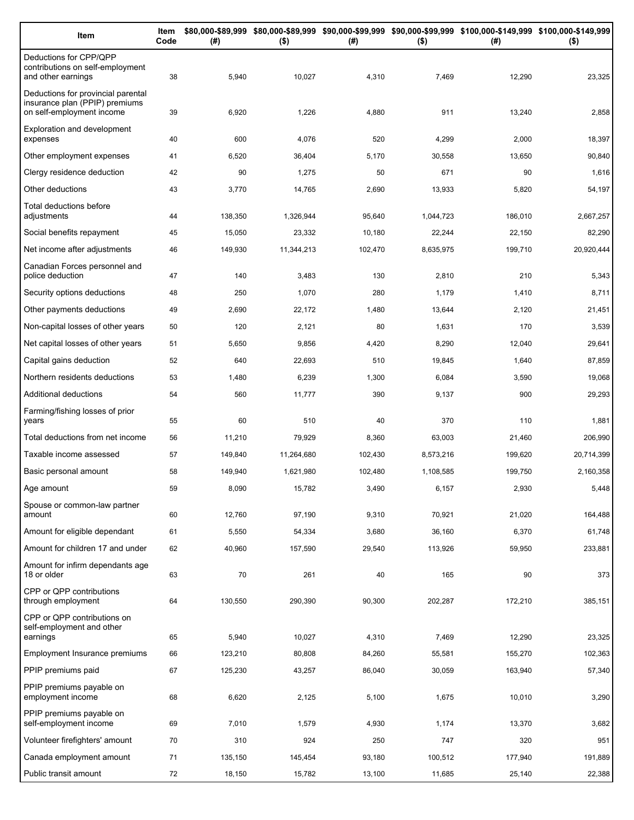| Item                                                                                              | Item<br>Code | (# )    | $($ \$)    | (#)     | $($ \$)   | \$80,000-\$89,999 \$80,000-\$89,999 \$90,000-\$99,999 \$90,000-\$99,999 \$100,000-\$149,999 \$100,000-\$149,999<br>(#) | $($ \$)    |
|---------------------------------------------------------------------------------------------------|--------------|---------|------------|---------|-----------|------------------------------------------------------------------------------------------------------------------------|------------|
| Deductions for CPP/QPP<br>contributions on self-employment<br>and other earnings                  | 38           | 5,940   | 10,027     | 4,310   | 7,469     | 12,290                                                                                                                 | 23,325     |
| Deductions for provincial parental<br>insurance plan (PPIP) premiums<br>on self-employment income | 39           | 6,920   | 1,226      | 4,880   | 911       | 13,240                                                                                                                 | 2,858      |
| <b>Exploration and development</b><br>expenses                                                    | 40           | 600     | 4,076      | 520     | 4,299     | 2,000                                                                                                                  | 18,397     |
| Other employment expenses                                                                         | 41           | 6,520   | 36,404     | 5,170   | 30,558    | 13,650                                                                                                                 | 90,840     |
| Clergy residence deduction                                                                        | 42           | 90      | 1,275      | 50      | 671       | 90                                                                                                                     | 1,616      |
| Other deductions                                                                                  | 43           | 3,770   | 14,765     | 2,690   | 13,933    | 5,820                                                                                                                  | 54,197     |
| Total deductions before<br>adjustments                                                            | 44           | 138,350 | 1,326,944  | 95,640  | 1,044,723 | 186,010                                                                                                                | 2,667,257  |
| Social benefits repayment                                                                         | 45           | 15,050  | 23,332     | 10,180  | 22,244    | 22,150                                                                                                                 | 82,290     |
| Net income after adjustments                                                                      | 46           | 149,930 | 11,344,213 | 102,470 | 8,635,975 | 199,710                                                                                                                | 20,920,444 |
| Canadian Forces personnel and<br>police deduction                                                 | 47           | 140     | 3,483      | 130     | 2,810     | 210                                                                                                                    | 5,343      |
| Security options deductions                                                                       | 48           | 250     | 1,070      | 280     | 1,179     | 1,410                                                                                                                  | 8,711      |
| Other payments deductions                                                                         | 49           | 2,690   | 22,172     | 1,480   | 13,644    | 2,120                                                                                                                  | 21,451     |
| Non-capital losses of other years                                                                 | 50           | 120     | 2,121      | 80      | 1,631     | 170                                                                                                                    | 3,539      |
| Net capital losses of other years                                                                 | 51           | 5,650   | 9,856      | 4,420   | 8,290     | 12,040                                                                                                                 | 29,641     |
| Capital gains deduction                                                                           | 52           | 640     | 22,693     | 510     | 19,845    | 1,640                                                                                                                  | 87,859     |
| Northern residents deductions                                                                     | 53           | 1,480   | 6,239      | 1,300   | 6,084     | 3,590                                                                                                                  | 19,068     |
| Additional deductions                                                                             | 54           | 560     | 11,777     | 390     | 9,137     | 900                                                                                                                    | 29,293     |
| Farming/fishing losses of prior<br>years                                                          | 55           | 60      | 510        | 40      | 370       | 110                                                                                                                    | 1,881      |
| Total deductions from net income                                                                  | 56           | 11,210  | 79,929     | 8,360   | 63,003    | 21,460                                                                                                                 | 206,990    |
| Taxable income assessed                                                                           | 57           | 149,840 | 11,264,680 | 102,430 | 8,573,216 | 199,620                                                                                                                | 20,714,399 |
| Basic personal amount                                                                             | 58           | 149,940 | 1,621,980  | 102,480 | 1,108,585 | 199,750                                                                                                                | 2,160,358  |
| Age amount                                                                                        | 59           | 8,090   | 15,782     | 3,490   | 6,157     | 2,930                                                                                                                  | 5,448      |
| Spouse or common-law partner<br>amount                                                            | 60           | 12,760  | 97,190     | 9,310   | 70,921    | 21,020                                                                                                                 | 164,488    |
| Amount for eligible dependant                                                                     | 61           | 5,550   | 54,334     | 3,680   | 36,160    | 6,370                                                                                                                  | 61,748     |
| Amount for children 17 and under                                                                  | 62           | 40,960  | 157,590    | 29,540  | 113,926   | 59,950                                                                                                                 | 233,881    |
| Amount for infirm dependants age<br>18 or older                                                   | 63           | 70      | 261        | 40      | 165       | 90                                                                                                                     | 373        |
| CPP or QPP contributions<br>through employment                                                    | 64           | 130,550 | 290,390    | 90,300  | 202,287   | 172,210                                                                                                                | 385,151    |
| CPP or QPP contributions on<br>self-employment and other                                          |              |         |            |         |           |                                                                                                                        |            |
| earnings                                                                                          | 65           | 5,940   | 10,027     | 4,310   | 7,469     | 12,290                                                                                                                 | 23,325     |
| Employment Insurance premiums                                                                     | 66           | 123,210 | 80,808     | 84,260  | 55,581    | 155,270                                                                                                                | 102,363    |
| PPIP premiums paid                                                                                | 67           | 125,230 | 43,257     | 86,040  | 30,059    | 163,940                                                                                                                | 57,340     |
| PPIP premiums payable on<br>employment income                                                     | 68           | 6,620   | 2,125      | 5,100   | 1,675     | 10,010                                                                                                                 | 3,290      |
| PPIP premiums payable on<br>self-employment income                                                | 69           | 7,010   | 1,579      | 4,930   | 1,174     | 13,370                                                                                                                 | 3,682      |
| Volunteer firefighters' amount                                                                    | 70           | 310     | 924        | 250     | 747       | 320                                                                                                                    | 951        |
| Canada employment amount                                                                          | 71           | 135,150 | 145,454    | 93,180  | 100,512   | 177,940                                                                                                                | 191,889    |
| Public transit amount                                                                             | 72           | 18,150  | 15,782     | 13,100  | 11,685    | 25,140                                                                                                                 | 22,388     |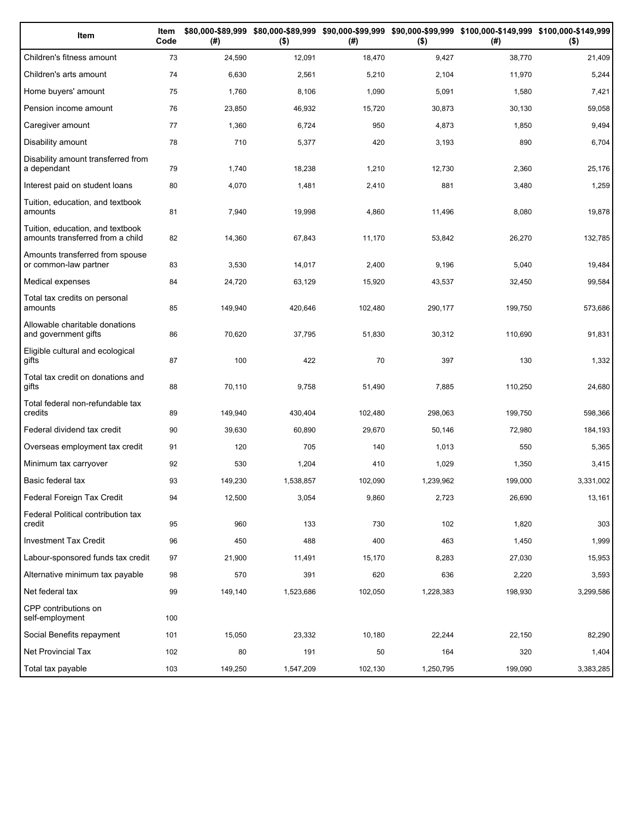| Item                                                                 | Item<br>Code | (# )    | $($ \$)   | (#)     | $($ \$)   | \$80,000-\$89,999 \$80,000-\$89,999 \$90,000-\$99,999 \$90,000-\$99,999 \$100,000-\$149,999 \$100,000-\$149,999<br>(#) | $($ \$)   |
|----------------------------------------------------------------------|--------------|---------|-----------|---------|-----------|------------------------------------------------------------------------------------------------------------------------|-----------|
| Children's fitness amount                                            | 73           | 24,590  | 12,091    | 18,470  | 9,427     | 38,770                                                                                                                 | 21,409    |
| Children's arts amount                                               | 74           | 6,630   | 2,561     | 5,210   | 2,104     | 11,970                                                                                                                 | 5,244     |
| Home buyers' amount                                                  | 75           | 1,760   | 8,106     | 1,090   | 5,091     | 1,580                                                                                                                  | 7,421     |
| Pension income amount                                                | 76           | 23,850  | 46,932    | 15,720  | 30,873    | 30,130                                                                                                                 | 59,058    |
| Caregiver amount                                                     | 77           | 1,360   | 6,724     | 950     | 4,873     | 1,850                                                                                                                  | 9,494     |
| Disability amount                                                    | 78           | 710     | 5,377     | 420     | 3,193     | 890                                                                                                                    | 6,704     |
| Disability amount transferred from<br>a dependant                    | 79           | 1,740   | 18,238    | 1,210   | 12,730    | 2,360                                                                                                                  | 25,176    |
| Interest paid on student loans                                       | 80           | 4,070   | 1,481     | 2,410   | 881       | 3,480                                                                                                                  | 1,259     |
| Tuition, education, and textbook<br>amounts                          | 81           | 7,940   | 19,998    | 4,860   | 11,496    | 8,080                                                                                                                  | 19,878    |
| Tuition, education, and textbook<br>amounts transferred from a child | 82           | 14,360  | 67,843    | 11,170  | 53,842    | 26,270                                                                                                                 | 132,785   |
| Amounts transferred from spouse<br>or common-law partner             | 83           | 3,530   | 14,017    | 2,400   | 9,196     | 5,040                                                                                                                  | 19,484    |
| Medical expenses                                                     | 84           | 24,720  | 63,129    | 15,920  | 43,537    | 32,450                                                                                                                 | 99,584    |
| Total tax credits on personal<br>amounts                             | 85           | 149,940 | 420,646   | 102,480 | 290,177   | 199,750                                                                                                                | 573,686   |
| Allowable charitable donations<br>and government gifts               | 86           | 70,620  | 37,795    | 51,830  | 30,312    | 110,690                                                                                                                | 91,831    |
| Eligible cultural and ecological<br>gifts                            | 87           | 100     | 422       | 70      | 397       | 130                                                                                                                    | 1,332     |
| Total tax credit on donations and<br>gifts                           | 88           | 70,110  | 9,758     | 51,490  | 7,885     | 110,250                                                                                                                | 24,680    |
| Total federal non-refundable tax<br>credits                          | 89           | 149,940 | 430,404   | 102,480 | 298,063   | 199,750                                                                                                                | 598,366   |
| Federal dividend tax credit                                          | 90           | 39,630  | 60,890    | 29,670  | 50,146    | 72,980                                                                                                                 | 184,193   |
| Overseas employment tax credit                                       | 91           | 120     | 705       | 140     | 1,013     | 550                                                                                                                    | 5,365     |
| Minimum tax carryover                                                | 92           | 530     | 1,204     | 410     | 1,029     | 1,350                                                                                                                  | 3,415     |
| Basic federal tax                                                    | 93           | 149,230 | 1,538,857 | 102,090 | 1,239,962 | 199,000                                                                                                                | 3,331,002 |
| Federal Foreign Tax Credit                                           | 94           | 12,500  | 3,054     | 9,860   | 2,723     | 26,690                                                                                                                 | 13,161    |
| Federal Political contribution tax<br>credit                         | 95           | 960     | 133       | 730     | 102       | 1,820                                                                                                                  | 303       |
| Investment Tax Credit                                                | 96           | 450     | 488       | 400     | 463       | 1,450                                                                                                                  | 1,999     |
| Labour-sponsored funds tax credit                                    | 97           | 21,900  | 11,491    | 15,170  | 8,283     | 27,030                                                                                                                 | 15,953    |
| Alternative minimum tax payable                                      | 98           | 570     | 391       | 620     | 636       | 2,220                                                                                                                  | 3,593     |
| Net federal tax                                                      | 99           | 149,140 | 1,523,686 | 102,050 | 1,228,383 | 198,930                                                                                                                | 3,299,586 |
| CPP contributions on<br>self-employment                              | 100          |         |           |         |           |                                                                                                                        |           |
| Social Benefits repayment                                            | 101          | 15,050  | 23,332    | 10,180  | 22,244    | 22,150                                                                                                                 | 82,290    |
| Net Provincial Tax                                                   | 102          | 80      | 191       | 50      | 164       | 320                                                                                                                    | 1,404     |
| Total tax payable                                                    | 103          | 149,250 | 1,547,209 | 102,130 | 1,250,795 | 199,090                                                                                                                | 3,383,285 |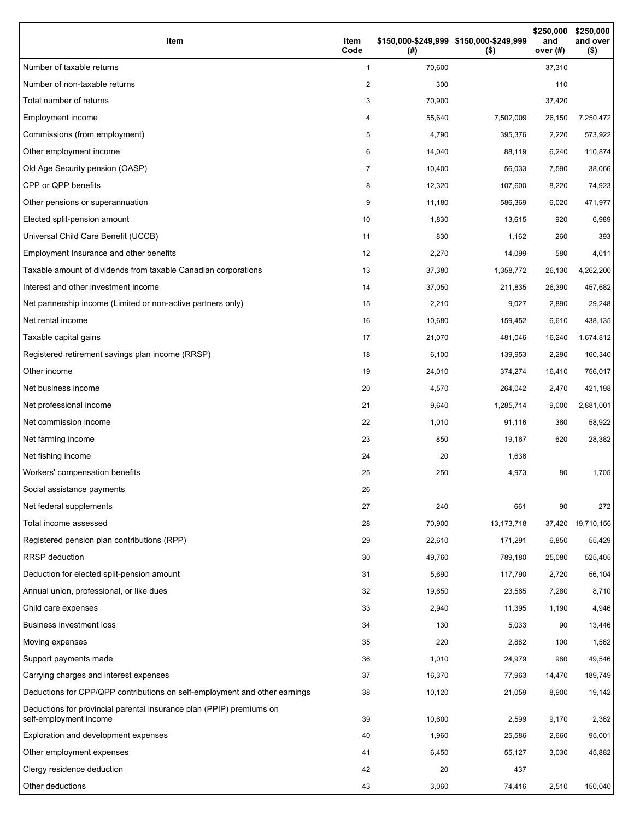| Item                                                                                           | Item<br>Code | \$150,000-\$249,999 \$150,000-\$249,999<br>(#) | $($ \$)      | \$250,000<br>and<br>over $(#)$ | \$250,000<br>and over<br>$($ \$) |
|------------------------------------------------------------------------------------------------|--------------|------------------------------------------------|--------------|--------------------------------|----------------------------------|
| Number of taxable returns                                                                      | 1            | 70,600                                         |              | 37,310                         |                                  |
| Number of non-taxable returns                                                                  | 2            | 300                                            |              | 110                            |                                  |
| Total number of returns                                                                        | 3            | 70,900                                         |              | 37,420                         |                                  |
| Employment income                                                                              | 4            | 55,640                                         | 7,502,009    | 26,150                         | 7,250,472                        |
| Commissions (from employment)                                                                  | 5            | 4,790                                          | 395,376      | 2,220                          | 573,922                          |
| Other employment income                                                                        | 6            | 14,040                                         | 88,119       | 6,240                          | 110,874                          |
| Old Age Security pension (OASP)                                                                | 7            | 10,400                                         | 56,033       | 7,590                          | 38,066                           |
| CPP or QPP benefits                                                                            | 8            | 12,320                                         | 107,600      | 8,220                          | 74,923                           |
| Other pensions or superannuation                                                               | 9            | 11,180                                         | 586,369      | 6,020                          | 471,977                          |
| Elected split-pension amount                                                                   | 10           | 1,830                                          | 13,615       | 920                            | 6,989                            |
| Universal Child Care Benefit (UCCB)                                                            | 11           | 830                                            | 1,162        | 260                            | 393                              |
| Employment Insurance and other benefits                                                        | 12           | 2,270                                          | 14,099       | 580                            | 4,011                            |
| Taxable amount of dividends from taxable Canadian corporations                                 | 13           | 37,380                                         | 1,358,772    | 26,130                         | 4,262,200                        |
| Interest and other investment income                                                           | 14           | 37,050                                         | 211,835      | 26,390                         | 457,682                          |
| Net partnership income (Limited or non-active partners only)                                   | 15           | 2,210                                          | 9,027        | 2,890                          | 29,248                           |
| Net rental income                                                                              | 16           | 10,680                                         | 159,452      | 6,610                          | 438,135                          |
| Taxable capital gains                                                                          | 17           | 21,070                                         | 481,046      | 16,240                         | 1,674,812                        |
| Registered retirement savings plan income (RRSP)                                               | 18           | 6,100                                          | 139,953      | 2,290                          | 160,340                          |
| Other income                                                                                   | 19           | 24,010                                         | 374,274      | 16,410                         | 756,017                          |
| Net business income                                                                            | 20           | 4,570                                          | 264,042      | 2,470                          | 421,198                          |
| Net professional income                                                                        | 21           | 9,640                                          | 1,285,714    | 9,000                          | 2,881,001                        |
| Net commission income                                                                          | 22           | 1,010                                          | 91,116       | 360                            | 58,922                           |
| Net farming income                                                                             | 23           | 850                                            | 19,167       | 620                            | 28,382                           |
| Net fishing income                                                                             | 24           | 20                                             | 1,636        |                                |                                  |
| Workers' compensation benefits                                                                 | 25           | 250                                            | 4,973        | 80                             | 1,705                            |
| Social assistance payments                                                                     | 26           |                                                |              |                                |                                  |
| Net federal supplements                                                                        | 27           | 240                                            | 661          | 90                             | 272                              |
| Total income assessed                                                                          | 28           | 70,900                                         | 13, 173, 718 | 37,420                         | 19,710,156                       |
| Registered pension plan contributions (RPP)                                                    | 29           | 22,610                                         | 171,291      | 6,850                          | 55,429                           |
| <b>RRSP</b> deduction                                                                          | 30           | 49,760                                         | 789,180      | 25,080                         | 525,405                          |
| Deduction for elected split-pension amount                                                     | 31           | 5,690                                          | 117,790      | 2,720                          | 56,104                           |
| Annual union, professional, or like dues                                                       | 32           | 19,650                                         | 23,565       | 7,280                          | 8,710                            |
| Child care expenses                                                                            | 33           | 2,940                                          | 11,395       | 1,190                          | 4,946                            |
| <b>Business investment loss</b>                                                                | 34           | 130                                            | 5,033        | 90                             | 13,446                           |
| Moving expenses                                                                                | 35           | 220                                            | 2,882        | 100                            | 1,562                            |
| Support payments made                                                                          | 36           | 1,010                                          | 24,979       | 980                            | 49,546                           |
| Carrying charges and interest expenses                                                         | 37           | 16,370                                         | 77,963       | 14,470                         | 189,749                          |
| Deductions for CPP/QPP contributions on self-employment and other earnings                     | 38           | 10,120                                         | 21,059       | 8,900                          | 19,142                           |
| Deductions for provincial parental insurance plan (PPIP) premiums on<br>self-employment income | 39           | 10,600                                         | 2,599        | 9,170                          | 2,362                            |
| Exploration and development expenses                                                           | 40           | 1,960                                          | 25,586       | 2,660                          | 95,001                           |
| Other employment expenses                                                                      | 41           | 6,450                                          | 55,127       | 3,030                          | 45,882                           |
| Clergy residence deduction                                                                     | 42           | 20                                             | 437          |                                |                                  |
| Other deductions                                                                               | 43           | 3,060                                          | 74,416       | 2,510                          | 150,040                          |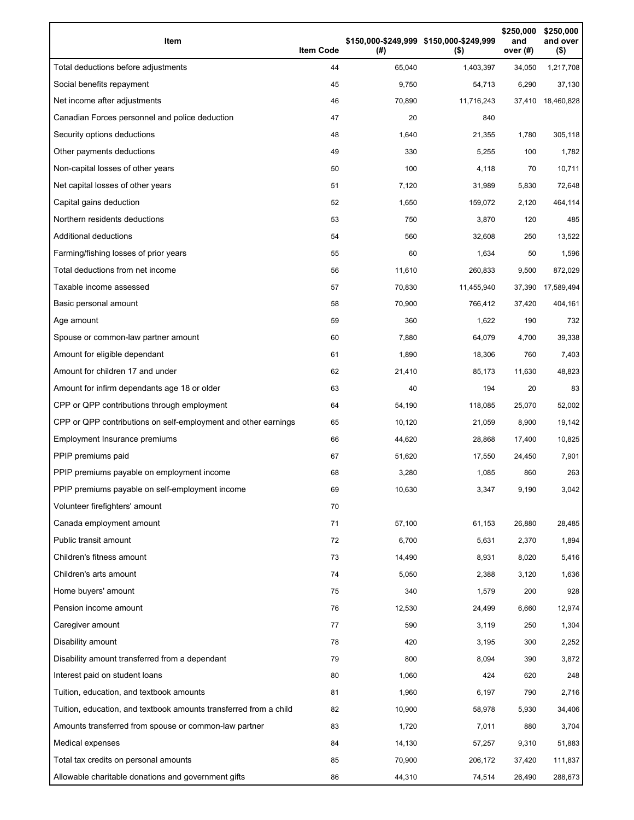| Item                                                              | <b>Item Code</b> | (#)    | \$150,000-\$249,999 \$150,000-\$249,999<br>$($ \$) | \$250,000<br>and<br>over (#) | \$250,000<br>and over<br>$($ \$) |
|-------------------------------------------------------------------|------------------|--------|----------------------------------------------------|------------------------------|----------------------------------|
| Total deductions before adjustments                               | 44               | 65,040 | 1,403,397                                          | 34,050                       | 1,217,708                        |
| Social benefits repayment                                         | 45               | 9,750  | 54,713                                             | 6,290                        | 37,130                           |
| Net income after adjustments                                      | 46               | 70,890 | 11,716,243                                         | 37,410                       | 18,460,828                       |
| Canadian Forces personnel and police deduction                    | 47               | 20     | 840                                                |                              |                                  |
| Security options deductions                                       | 48               | 1,640  | 21,355                                             | 1,780                        | 305,118                          |
| Other payments deductions                                         | 49               | 330    | 5,255                                              | 100                          | 1,782                            |
| Non-capital losses of other years                                 | 50               | 100    | 4,118                                              | 70                           | 10,711                           |
| Net capital losses of other years                                 | 51               | 7,120  | 31,989                                             | 5,830                        | 72,648                           |
| Capital gains deduction                                           | 52               | 1,650  | 159,072                                            | 2,120                        | 464,114                          |
| Northern residents deductions                                     | 53               | 750    | 3,870                                              | 120                          | 485                              |
| Additional deductions                                             | 54               | 560    | 32,608                                             | 250                          | 13,522                           |
| Farming/fishing losses of prior years                             | 55               | 60     | 1,634                                              | 50                           | 1,596                            |
| Total deductions from net income                                  | 56               | 11,610 | 260,833                                            | 9,500                        | 872,029                          |
| Taxable income assessed                                           | 57               | 70,830 | 11,455,940                                         | 37,390                       | 17,589,494                       |
| Basic personal amount                                             | 58               | 70,900 | 766,412                                            | 37,420                       | 404,161                          |
| Age amount                                                        | 59               | 360    | 1,622                                              | 190                          | 732                              |
| Spouse or common-law partner amount                               | 60               | 7,880  | 64,079                                             | 4,700                        | 39,338                           |
| Amount for eligible dependant                                     | 61               | 1,890  | 18,306                                             | 760                          | 7,403                            |
| Amount for children 17 and under                                  | 62               | 21,410 | 85,173                                             | 11,630                       | 48,823                           |
| Amount for infirm dependants age 18 or older                      | 63               | 40     | 194                                                | 20                           | 83                               |
| CPP or QPP contributions through employment                       | 64               | 54,190 | 118,085                                            | 25,070                       | 52,002                           |
| CPP or QPP contributions on self-employment and other earnings    | 65               | 10,120 | 21,059                                             | 8,900                        | 19,142                           |
| Employment Insurance premiums                                     | 66               | 44,620 | 28,868                                             | 17,400                       | 10,825                           |
| PPIP premiums paid                                                | 67               | 51,620 | 17,550                                             | 24,450                       | 7,901                            |
| PPIP premiums payable on employment income                        | 68               | 3,280  | 1,085                                              | 860                          | 263                              |
| PPIP premiums payable on self-employment income                   | 69               | 10,630 | 3,347                                              | 9,190                        | 3,042                            |
| Volunteer firefighters' amount                                    | 70               |        |                                                    |                              |                                  |
| Canada employment amount                                          | 71               | 57,100 | 61,153                                             | 26,880                       | 28,485                           |
| Public transit amount                                             | 72               | 6,700  | 5,631                                              | 2,370                        | 1,894                            |
| Children's fitness amount                                         | 73               | 14,490 | 8,931                                              | 8,020                        | 5,416                            |
| Children's arts amount                                            | 74               | 5,050  | 2,388                                              | 3,120                        | 1,636                            |
| Home buyers' amount                                               | 75               | 340    | 1,579                                              | 200                          | 928                              |
| Pension income amount                                             | 76               | 12,530 | 24,499                                             | 6,660                        | 12,974                           |
| Caregiver amount                                                  | 77               | 590    | 3,119                                              | 250                          | 1,304                            |
| Disability amount                                                 | 78               | 420    | 3,195                                              | 300                          | 2,252                            |
| Disability amount transferred from a dependant                    | 79               | 800    | 8,094                                              | 390                          | 3,872                            |
| Interest paid on student loans                                    | 80               | 1,060  | 424                                                | 620                          | 248                              |
| Tuition, education, and textbook amounts                          | 81               | 1,960  | 6,197                                              | 790                          | 2,716                            |
| Tuition, education, and textbook amounts transferred from a child | 82               | 10,900 | 58,978                                             | 5,930                        | 34,406                           |
| Amounts transferred from spouse or common-law partner             | 83               | 1,720  | 7,011                                              | 880                          | 3,704                            |
| Medical expenses                                                  | 84               | 14,130 | 57,257                                             | 9,310                        | 51,883                           |
| Total tax credits on personal amounts                             | 85               | 70,900 | 206,172                                            | 37,420                       | 111,837                          |
| Allowable charitable donations and government gifts               | 86               | 44,310 | 74,514                                             | 26,490                       | 288,673                          |